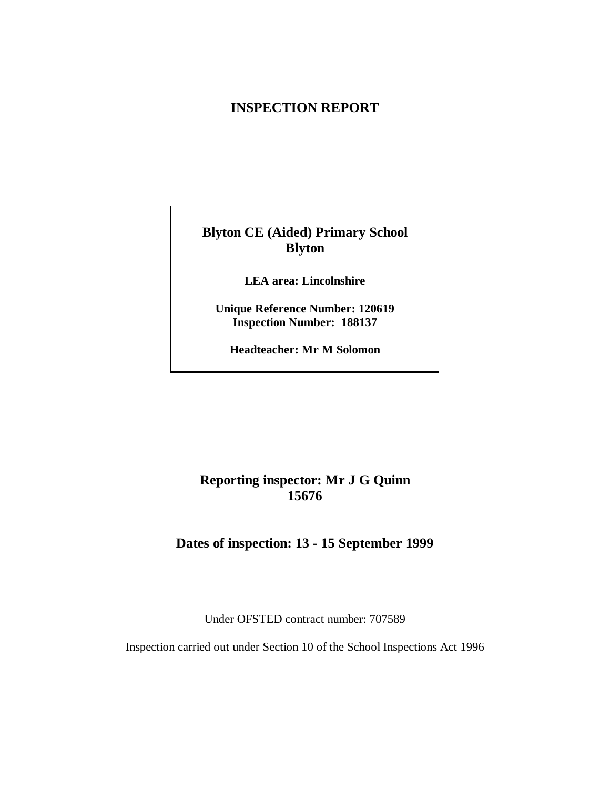## **INSPECTION REPORT**

**Blyton CE (Aided) Primary School Blyton**

**LEA area: Lincolnshire**

**Unique Reference Number: 120619 Inspection Number: 188137**

**Headteacher: Mr M Solomon**

## **Reporting inspector: Mr J G Quinn 15676**

**Dates of inspection: 13 - 15 September 1999**

Under OFSTED contract number: 707589

Inspection carried out under Section 10 of the School Inspections Act 1996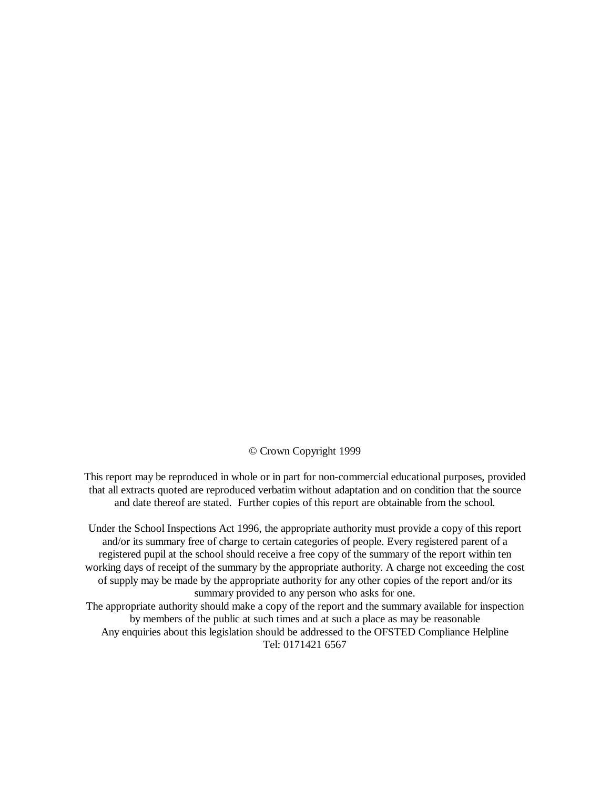© Crown Copyright 1999

This report may be reproduced in whole or in part for non-commercial educational purposes, provided that all extracts quoted are reproduced verbatim without adaptation and on condition that the source and date thereof are stated. Further copies of this report are obtainable from the school.

Under the School Inspections Act 1996, the appropriate authority must provide a copy of this report and/or its summary free of charge to certain categories of people. Every registered parent of a registered pupil at the school should receive a free copy of the summary of the report within ten working days of receipt of the summary by the appropriate authority. A charge not exceeding the cost of supply may be made by the appropriate authority for any other copies of the report and/or its summary provided to any person who asks for one. The appropriate authority should make a copy of the report and the summary available for inspection

by members of the public at such times and at such a place as may be reasonable Any enquiries about this legislation should be addressed to the OFSTED Compliance Helpline Tel: 0171421 6567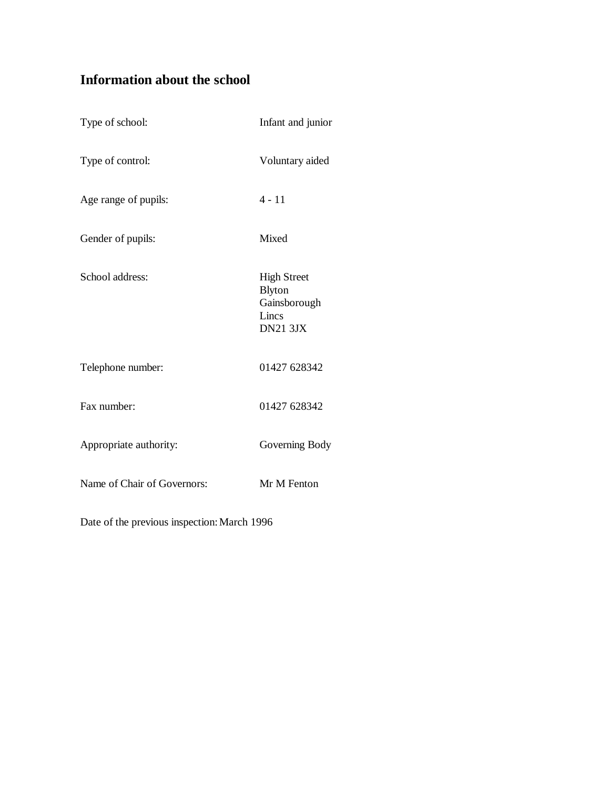# **Information about the school**

| Type of school:             | Infant and junior                                                               |
|-----------------------------|---------------------------------------------------------------------------------|
| Type of control:            | Voluntary aided                                                                 |
| Age range of pupils:        | $4 - 11$                                                                        |
| Gender of pupils:           | Mixed                                                                           |
| School address:             | <b>High Street</b><br><b>Blyton</b><br>Gainsborough<br>Lincs<br><b>DN21 3JX</b> |
| Telephone number:           | 01427 628342                                                                    |
| Fax number:                 | 01427 628342                                                                    |
| Appropriate authority:      | Governing Body                                                                  |
| Name of Chair of Governors: | Mr M Fenton                                                                     |

Date of the previous inspection: March 1996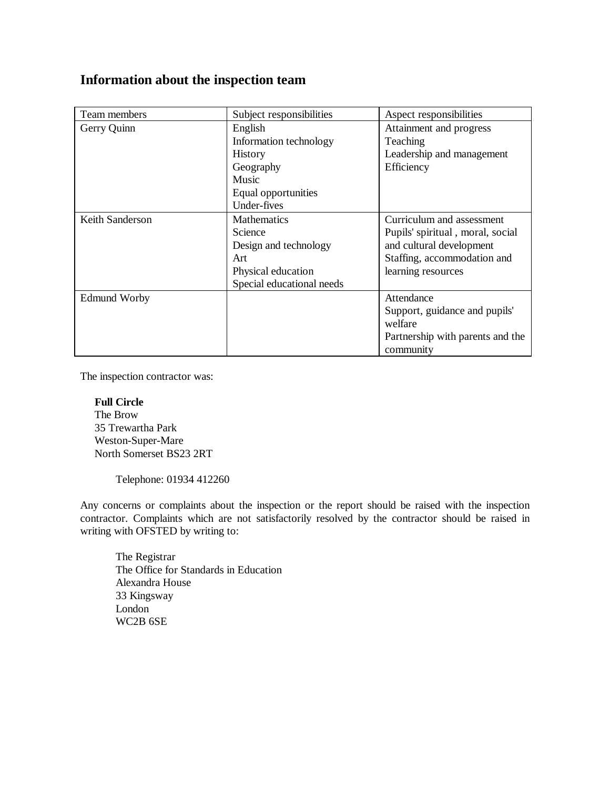## **Information about the inspection team**

| Team members        | Subject responsibilities  | Aspect responsibilities          |
|---------------------|---------------------------|----------------------------------|
| Gerry Quinn         | English                   | Attainment and progress          |
|                     | Information technology    | Teaching                         |
|                     | <b>History</b>            | Leadership and management        |
|                     | Geography                 | Efficiency                       |
|                     | Music                     |                                  |
|                     | Equal opportunities       |                                  |
|                     | Under-fives               |                                  |
| Keith Sanderson     | <b>Mathematics</b>        | Curriculum and assessment        |
|                     | <b>Science</b>            | Pupils' spiritual, moral, social |
|                     | Design and technology     | and cultural development         |
|                     | Art                       | Staffing, accommodation and      |
|                     | Physical education        | learning resources               |
|                     | Special educational needs |                                  |
| <b>Edmund Worby</b> |                           | Attendance                       |
|                     |                           | Support, guidance and pupils'    |
|                     |                           | welfare                          |
|                     |                           | Partnership with parents and the |
|                     |                           | community                        |

The inspection contractor was:

## **Full Circle**

 The Brow 35 Trewartha Park Weston-Super-Mare North Somerset BS23 2RT

Telephone: 01934 412260

Any concerns or complaints about the inspection or the report should be raised with the inspection contractor. Complaints which are not satisfactorily resolved by the contractor should be raised in writing with OFSTED by writing to:

The Registrar The Office for Standards in Education Alexandra House 33 Kingsway London WC2B 6SE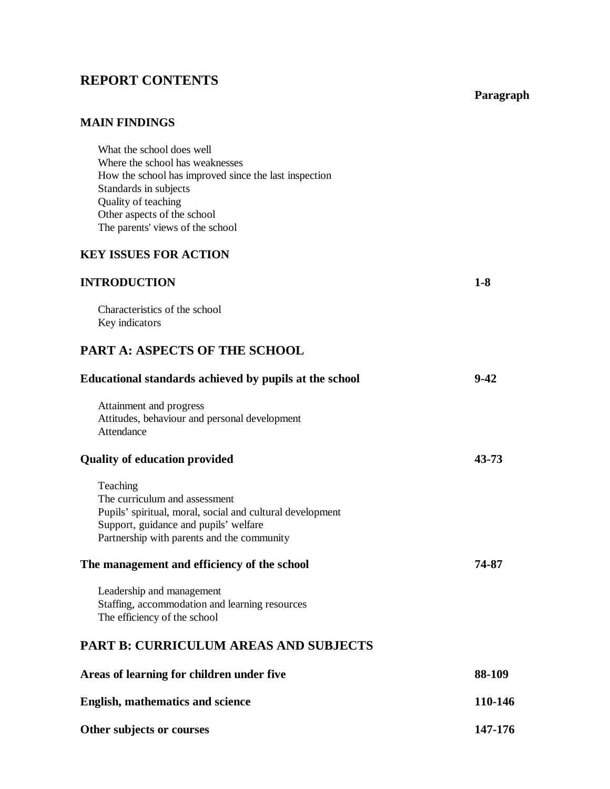# **REPORT CONTENTS**

## **Paragraph**

## **MAIN FINDINGS**

| What the school does well                             |
|-------------------------------------------------------|
| Where the school has weaknesses                       |
| How the school has improved since the last inspection |
| Standards in subjects                                 |
| Quality of teaching                                   |
| Other aspects of the school                           |
| The parents' views of the school                      |

## **KEY ISSUES FOR ACTION**

## **INTRODUCTION 1-8**

Characteristics of the school Key indicators

# **PART A: ASPECTS OF THE SCHOOL**

| Educational standards achieved by pupils at the school                                                                                                                                                                                                                                                                                                      | $9 - 42$ |
|-------------------------------------------------------------------------------------------------------------------------------------------------------------------------------------------------------------------------------------------------------------------------------------------------------------------------------------------------------------|----------|
| Attainment and progress<br>Attitudes, behaviour and personal development<br>Attendance                                                                                                                                                                                                                                                                      |          |
| <b>Quality of education provided</b>                                                                                                                                                                                                                                                                                                                        | 43-73    |
| Teaching<br>The curriculum and assessment<br>Pupils' spiritual, moral, social and cultural development<br>Support, guidance and pupils' welfare<br>Partnership with parents and the community<br>The management and efficiency of the school<br>Leadership and management<br>Staffing, accommodation and learning resources<br>The efficiency of the school | 74-87    |
| <b>PART B: CURRICULUM AREAS AND SUBJECTS</b>                                                                                                                                                                                                                                                                                                                |          |
| Areas of learning for children under five                                                                                                                                                                                                                                                                                                                   | 88-109   |
| <b>English, mathematics and science</b>                                                                                                                                                                                                                                                                                                                     | 110-146  |
| Other subjects or courses                                                                                                                                                                                                                                                                                                                                   | 147-176  |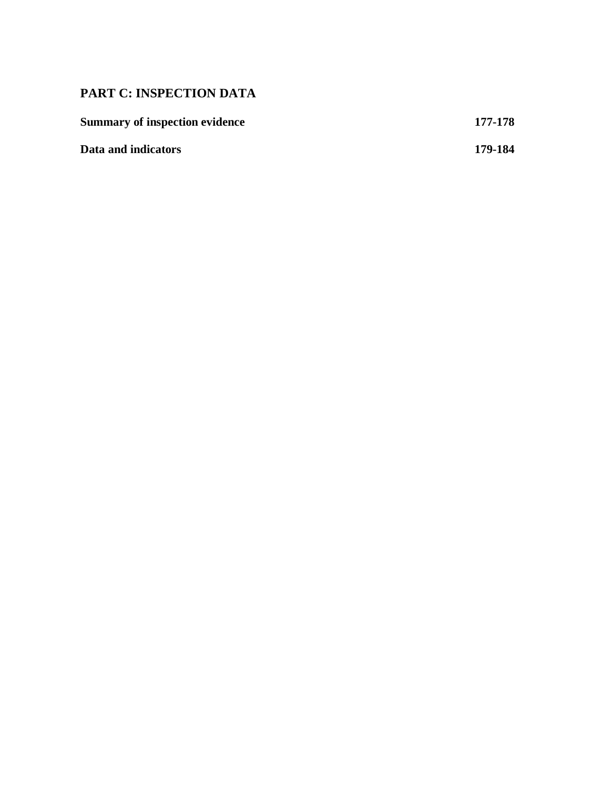# **PART C: INSPECTION DATA**

| <b>Summary of inspection evidence</b> | 177-178 |
|---------------------------------------|---------|
| Data and indicators                   | 179-184 |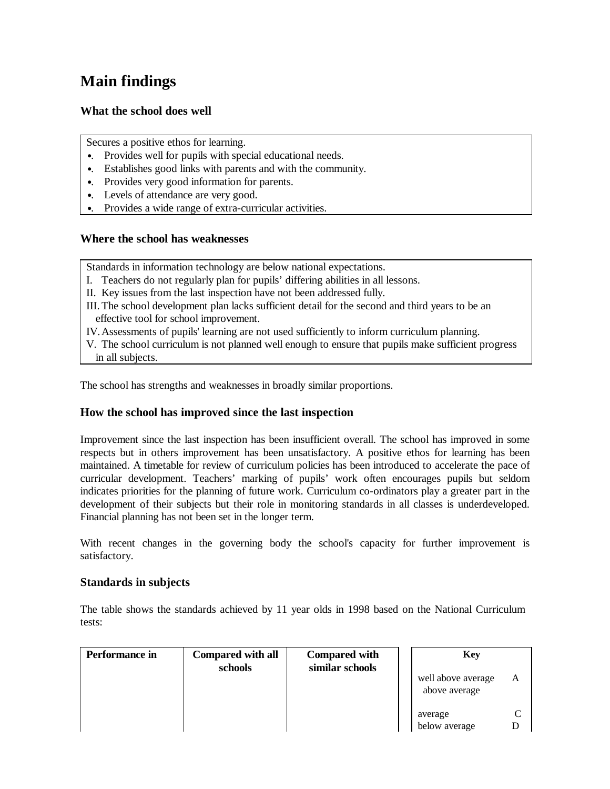# **Main findings**

## **What the school does well**

Secures a positive ethos for learning.

- •. Provides well for pupils with special educational needs.
- •. Establishes good links with parents and with the community.
- •. Provides very good information for parents.
- •. Levels of attendance are very good.
- •. Provides a wide range of extra-curricular activities.

## **Where the school has weaknesses**

Standards in information technology are below national expectations.

- I. Teachers do not regularly plan for pupils' differing abilities in all lessons.
- II. Key issues from the last inspection have not been addressed fully.
- III.The school development plan lacks sufficient detail for the second and third years to be an effective tool for school improvement.
- IV.Assessments of pupils' learning are not used sufficiently to inform curriculum planning.
- V. The school curriculum is not planned well enough to ensure that pupils make sufficient progress in all subjects.

The school has strengths and weaknesses in broadly similar proportions.

## **How the school has improved since the last inspection**

Improvement since the last inspection has been insufficient overall. The school has improved in some respects but in others improvement has been unsatisfactory. A positive ethos for learning has been maintained. A timetable for review of curriculum policies has been introduced to accelerate the pace of curricular development. Teachers' marking of pupils' work often encourages pupils but seldom indicates priorities for the planning of future work. Curriculum co-ordinators play a greater part in the development of their subjects but their role in monitoring standards in all classes is underdeveloped. Financial planning has not been set in the longer term.

With recent changes in the governing body the school's capacity for further improvement is satisfactory.

## **Standards in subjects**

The table shows the standards achieved by 11 year olds in 1998 based on the National Curriculum tests:

| Performance in | <b>Compared with all</b><br>schools | <b>Compared with</b><br>similar schools | <b>Key</b>                          |   |
|----------------|-------------------------------------|-----------------------------------------|-------------------------------------|---|
|                |                                     |                                         | well above average<br>above average | A |
|                |                                     |                                         | average<br>below average            |   |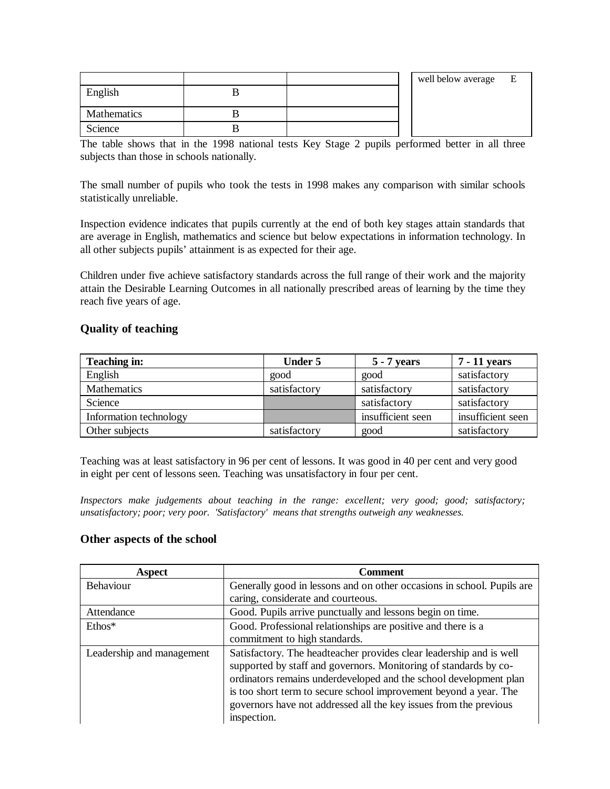|             |  | well below average | E |
|-------------|--|--------------------|---|
| English     |  |                    |   |
|             |  |                    |   |
| Mathematics |  |                    |   |
| Science     |  |                    |   |

The table shows that in the 1998 national tests Key Stage 2 pupils performed better in all three subjects than those in schools nationally.

The small number of pupils who took the tests in 1998 makes any comparison with similar schools statistically unreliable.

Inspection evidence indicates that pupils currently at the end of both key stages attain standards that are average in English, mathematics and science but below expectations in information technology. In all other subjects pupils' attainment is as expected for their age.

Children under five achieve satisfactory standards across the full range of their work and the majority attain the Desirable Learning Outcomes in all nationally prescribed areas of learning by the time they reach five years of age.

## **Quality of teaching**

| Teaching in:           | <b>Under 5</b> | $5 - 7$ years     | 7 - 11 years      |
|------------------------|----------------|-------------------|-------------------|
| English                | good           | good              | satisfactory      |
| Mathematics            | satisfactory   | satisfactory      | satisfactory      |
| Science                |                | satisfactory      | satisfactory      |
| Information technology |                | insufficient seen | insufficient seen |
| Other subjects         | satisfactory   | good              | satisfactory      |

Teaching was at least satisfactory in 96 per cent of lessons. It was good in 40 per cent and very good in eight per cent of lessons seen. Teaching was unsatisfactory in four per cent.

*Inspectors make judgements about teaching in the range: excellent; very good; good; satisfactory; unsatisfactory; poor; very poor. 'Satisfactory' means that strengths outweigh any weaknesses.* 

## **Other aspects of the school**

| <b>Aspect</b>             | <b>Comment</b>                                                                                                                                                                                                                                                                                                                                                        |
|---------------------------|-----------------------------------------------------------------------------------------------------------------------------------------------------------------------------------------------------------------------------------------------------------------------------------------------------------------------------------------------------------------------|
| Behaviour                 | Generally good in lessons and on other occasions in school. Pupils are                                                                                                                                                                                                                                                                                                |
|                           | caring, considerate and courteous.                                                                                                                                                                                                                                                                                                                                    |
| Attendance                | Good. Pupils arrive punctually and lessons begin on time.                                                                                                                                                                                                                                                                                                             |
| $Ethos*$                  | Good. Professional relationships are positive and there is a                                                                                                                                                                                                                                                                                                          |
|                           | commitment to high standards.                                                                                                                                                                                                                                                                                                                                         |
| Leadership and management | Satisfactory. The headteacher provides clear leadership and is well<br>supported by staff and governors. Monitoring of standards by co-<br>ordinators remains underdeveloped and the school development plan<br>is too short term to secure school improvement beyond a year. The<br>governors have not addressed all the key issues from the previous<br>inspection. |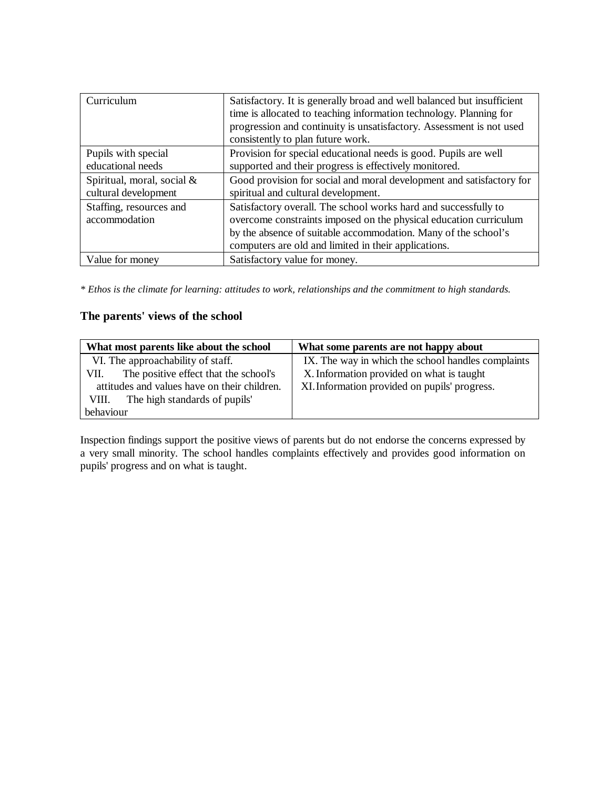| Curriculum                 | Satisfactory. It is generally broad and well balanced but insufficient<br>time is allocated to teaching information technology. Planning for<br>progression and continuity is unsatisfactory. Assessment is not used<br>consistently to plan future work. |
|----------------------------|-----------------------------------------------------------------------------------------------------------------------------------------------------------------------------------------------------------------------------------------------------------|
| Pupils with special        | Provision for special educational needs is good. Pupils are well                                                                                                                                                                                          |
| educational needs          | supported and their progress is effectively monitored.                                                                                                                                                                                                    |
| Spiritual, moral, social & | Good provision for social and moral development and satisfactory for                                                                                                                                                                                      |
| cultural development       | spiritual and cultural development.                                                                                                                                                                                                                       |
| Staffing, resources and    | Satisfactory overall. The school works hard and successfully to                                                                                                                                                                                           |
| accommodation              | overcome constraints imposed on the physical education curriculum                                                                                                                                                                                         |
|                            | by the absence of suitable accommodation. Many of the school's                                                                                                                                                                                            |
|                            | computers are old and limited in their applications.                                                                                                                                                                                                      |
| Value for money            | Satisfactory value for money.                                                                                                                                                                                                                             |

*\* Ethos is the climate for learning: attitudes to work, relationships and the commitment to high standards.*

## **The parents' views of the school**

| What most parents like about the school       | What some parents are not happy about              |
|-----------------------------------------------|----------------------------------------------------|
| VI. The approachability of staff.             | IX. The way in which the school handles complaints |
| The positive effect that the school's<br>VII. | X. Information provided on what is taught          |
| attitudes and values have on their children.  | XI. Information provided on pupils' progress.      |
| The high standards of pupils'<br>VIII.        |                                                    |
| behaviour                                     |                                                    |

Inspection findings support the positive views of parents but do not endorse the concerns expressed by a very small minority. The school handles complaints effectively and provides good information on pupils' progress and on what is taught.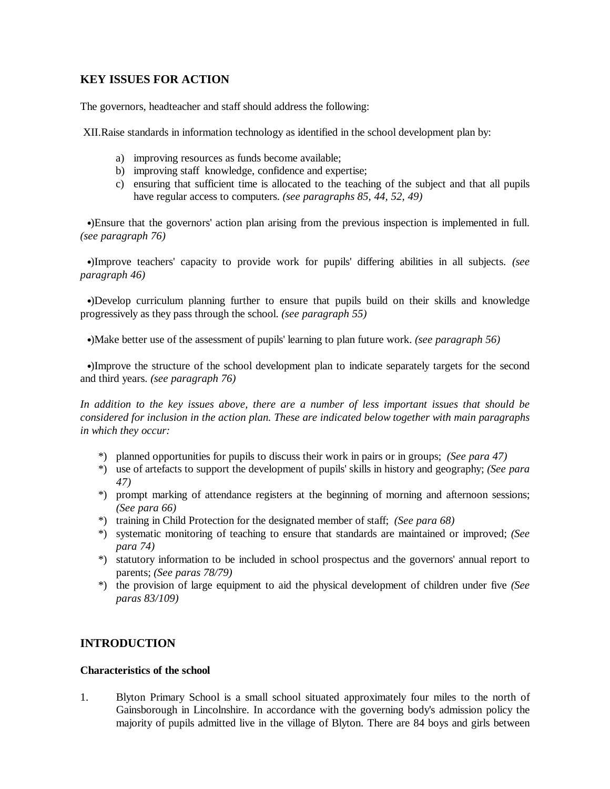## **KEY ISSUES FOR ACTION**

The governors, headteacher and staff should address the following:

XII.Raise standards in information technology as identified in the school development plan by:

- a) improving resources as funds become available;
- b) improving staff knowledge, confidence and expertise;
- c) ensuring that sufficient time is allocated to the teaching of the subject and that all pupils have regular access to computers. *(see paragraphs 85, 44, 52, 49)*

 •)Ensure that the governors' action plan arising from the previous inspection is implemented in full. *(see paragraph 76)*

 •)Improve teachers' capacity to provide work for pupils' differing abilities in all subjects. *(see paragraph 46)*

 •)Develop curriculum planning further to ensure that pupils build on their skills and knowledge progressively as they pass through the school. *(see paragraph 55)*

•)Make better use of the assessment of pupils' learning to plan future work. *(see paragraph 56)*

 •)Improve the structure of the school development plan to indicate separately targets for the second and third years. *(see paragraph 76)*

*In addition to the key issues above, there are a number of less important issues that should be considered for inclusion in the action plan. These are indicated below together with main paragraphs in which they occur:*

- \*) planned opportunities for pupils to discuss their work in pairs or in groups; *(See para 47)*
- \*) use of artefacts to support the development of pupils' skills in history and geography; *(See para 47)*
- \*) prompt marking of attendance registers at the beginning of morning and afternoon sessions; *(See para 66)*
- \*) training in Child Protection for the designated member of staff; *(See para 68)*
- \*) systematic monitoring of teaching to ensure that standards are maintained or improved; *(See para 74)*
- \*) statutory information to be included in school prospectus and the governors' annual report to parents; *(See paras 78/79)*
- \*) the provision of large equipment to aid the physical development of children under five *(See paras 83/109)*

## **INTRODUCTION**

#### **Characteristics of the school**

1. Blyton Primary School is a small school situated approximately four miles to the north of Gainsborough in Lincolnshire. In accordance with the governing body's admission policy the majority of pupils admitted live in the village of Blyton. There are 84 boys and girls between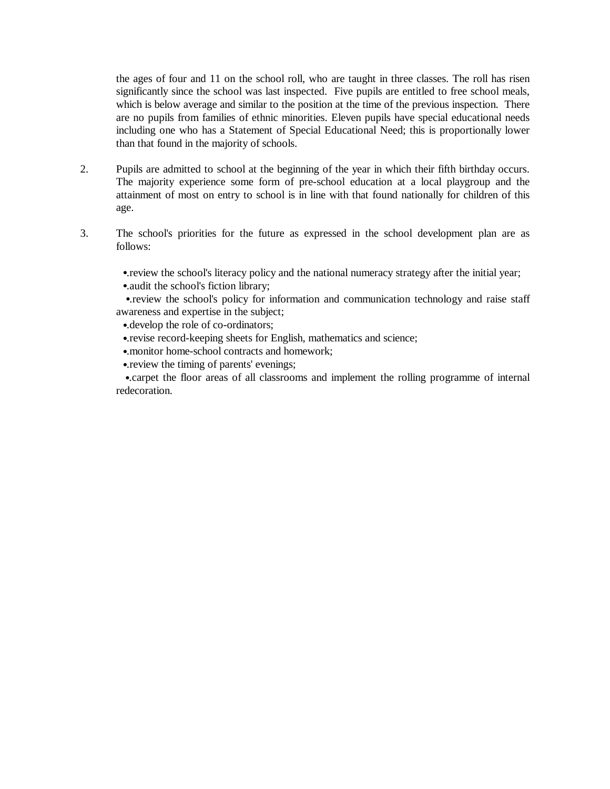the ages of four and 11 on the school roll, who are taught in three classes. The roll has risen significantly since the school was last inspected. Five pupils are entitled to free school meals, which is below average and similar to the position at the time of the previous inspection. There are no pupils from families of ethnic minorities. Eleven pupils have special educational needs including one who has a Statement of Special Educational Need; this is proportionally lower than that found in the majority of schools.

- 2. Pupils are admitted to school at the beginning of the year in which their fifth birthday occurs. The majority experience some form of pre-school education at a local playgroup and the attainment of most on entry to school is in line with that found nationally for children of this age.
- 3. The school's priorities for the future as expressed in the school development plan are as follows:
	- •. review the school's literacy policy and the national numeracy strategy after the initial year;
	- •.audit the school's fiction library;

•. review the school's policy for information and communication technology and raise staff awareness and expertise in the subject;

- •.develop the role of co-ordinators;
- •.revise record-keeping sheets for English, mathematics and science;
- •.monitor home-school contracts and homework;
- •.review the timing of parents' evenings;

•.carpet the floor areas of all classrooms and implement the rolling programme of internal redecoration.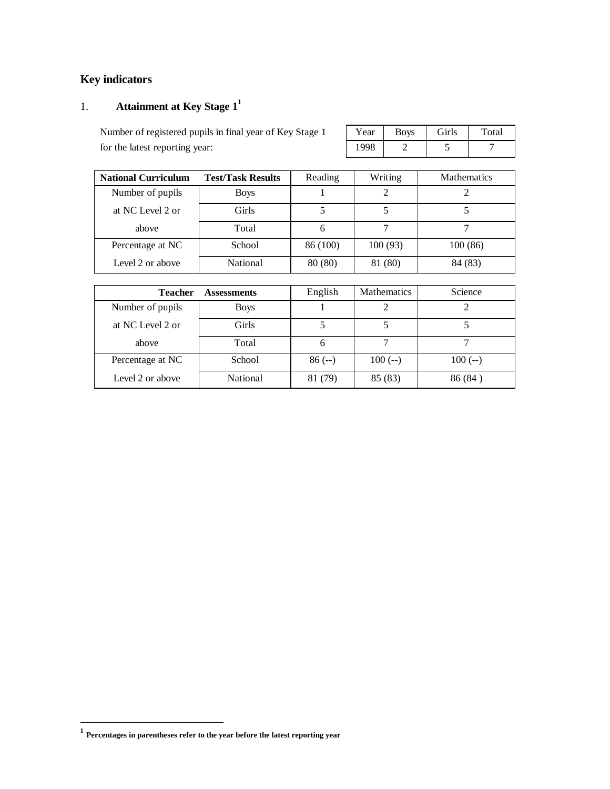# **Key indicators**

# 1. **Attainment at Key Stage 1<sup>1</sup>**

Number of registered pupils in final year of Key Stage 1 for the latest reporting year:

| Year | <b>Boys</b> | <b>Girls</b> | Total |
|------|-------------|--------------|-------|
| 1998 |             |              |       |

| <b>National Curriculum</b> | <b>Test/Task Results</b> | Reading  | Writing | <b>Mathematics</b> |
|----------------------------|--------------------------|----------|---------|--------------------|
| Number of pupils           | <b>Boys</b>              |          |         |                    |
| at NC Level 2 or           | Girls                    |          |         |                    |
| above                      | Total                    | h        |         |                    |
| Percentage at NC           | School                   | 86 (100) | 100(93) | 100(86)            |
| Level 2 or above           | National                 | 80 (80)  | 81 (80) | 84 (83)            |

| <b>Teacher</b>   | English     | <b>Mathematics</b> | Science  |          |
|------------------|-------------|--------------------|----------|----------|
| Number of pupils | <b>Boys</b> |                    |          |          |
| at NC Level 2 or | Girls       |                    |          |          |
| above            | Total       | 6                  |          |          |
| Percentage at NC | School      | $86 (-)$           | $100(-)$ | $100(-)$ |
| Level 2 or above | National    | 81 (79)            | 85 (83)  | 86(84)   |

 **1 Percentages in parentheses refer to the year before the latest reporting year**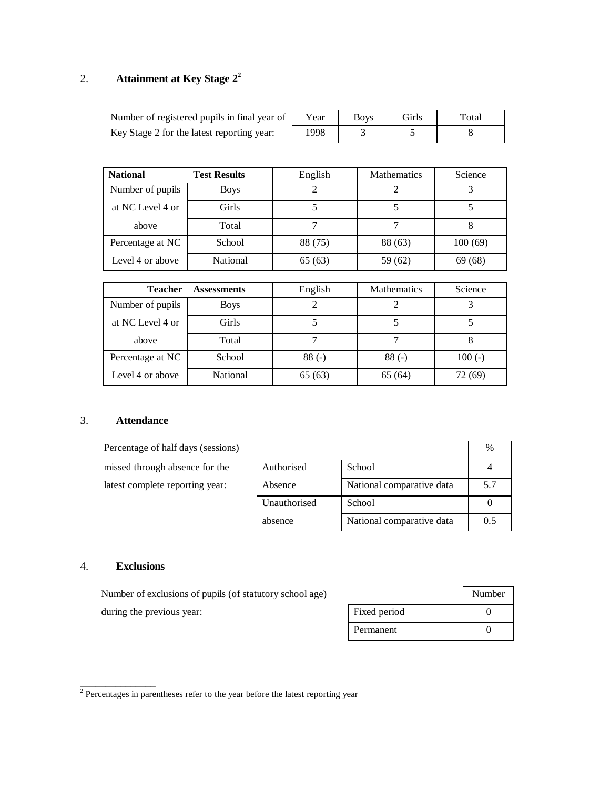# 2. **Attainment at Key Stage 2<sup>2</sup>**

| Number of registered pupils in final year of | Y ear | <b>BOVS</b> | Girls | Total |
|----------------------------------------------|-------|-------------|-------|-------|
| Key Stage 2 for the latest reporting year:   | 1998  |             |       |       |

| <b>National</b>  | <b>Test Results</b> | English | <b>Mathematics</b> | Science |
|------------------|---------------------|---------|--------------------|---------|
| Number of pupils | <b>Boys</b>         |         |                    |         |
| at NC Level 4 or | Girls               |         |                    |         |
| above            | Total               |         |                    | O       |
| Percentage at NC | School              | 88 (75) | 88 (63)            | 100(69) |
| Level 4 or above | National            | 65 (63) | 59 (62)            | 69 (68) |

| <b>Teacher</b>   | <b>Assessments</b> | English | <b>Mathematics</b> | Science  |
|------------------|--------------------|---------|--------------------|----------|
| Number of pupils | <b>Boys</b>        |         |                    |          |
| at NC Level 4 or | Girls              |         |                    |          |
| above            | Total              |         |                    | 8        |
| Percentage at NC | School             | $88(-)$ | $88(-)$            | $100(-)$ |
| Level 4 or above | National           | 65(63)  | 65 (64)            | 72 (69)  |

## 3. **Attendance**

| Percentage of half days (sessions) |              |                           | $\%$ |
|------------------------------------|--------------|---------------------------|------|
| missed through absence for the     | Authorised   | School                    |      |
| latest complete reporting year:    | Absence      | National comparative data | 5.7  |
|                                    | Unauthorised | School                    |      |
|                                    | absence      | National comparative data | 0.5  |

## 4. **Exclusions**

| Number of exclusions of pupils (of statutory school age) |              | Number |
|----------------------------------------------------------|--------------|--------|
| during the previous year:                                | Fixed period |        |
|                                                          | Permanent    |        |

 $\frac{1}{2}$  Percentages in parentheses refer to the year before the latest reporting year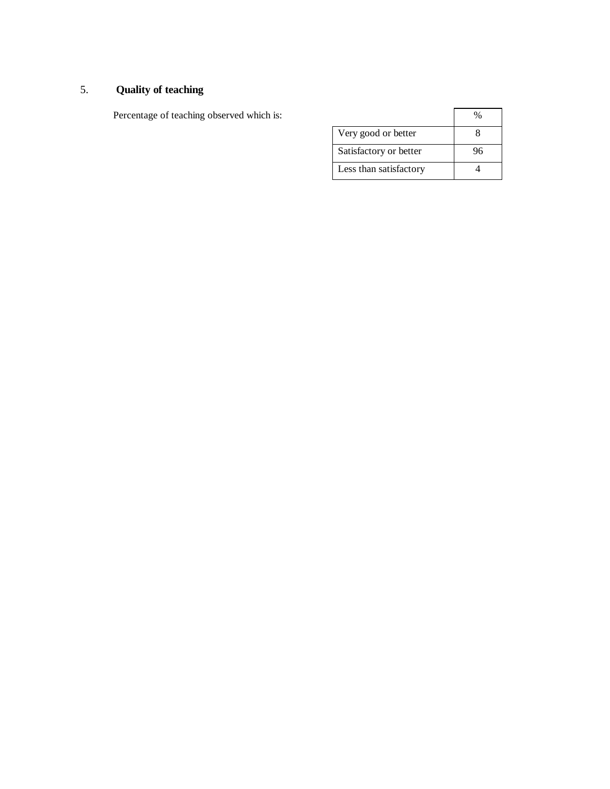## 5. **Quality of teaching**

Percentage of teaching observed which is:

| Very good or better    |  |
|------------------------|--|
| Satisfactory or better |  |
| Less than satisfactory |  |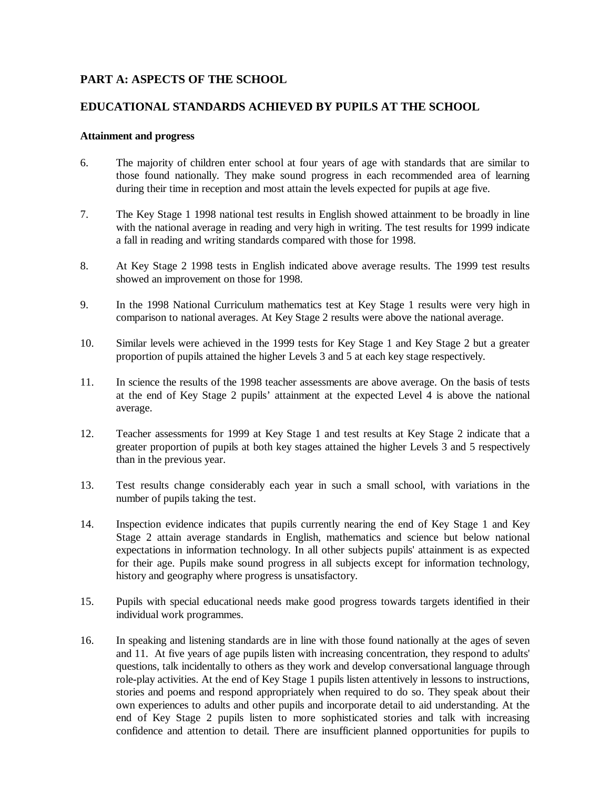## **PART A: ASPECTS OF THE SCHOOL**

## **EDUCATIONAL STANDARDS ACHIEVED BY PUPILS AT THE SCHOOL**

#### **Attainment and progress**

- 6. The majority of children enter school at four years of age with standards that are similar to those found nationally. They make sound progress in each recommended area of learning during their time in reception and most attain the levels expected for pupils at age five.
- 7. The Key Stage 1 1998 national test results in English showed attainment to be broadly in line with the national average in reading and very high in writing. The test results for 1999 indicate a fall in reading and writing standards compared with those for 1998.
- 8. At Key Stage 2 1998 tests in English indicated above average results. The 1999 test results showed an improvement on those for 1998.
- 9. In the 1998 National Curriculum mathematics test at Key Stage 1 results were very high in comparison to national averages. At Key Stage 2 results were above the national average.
- 10. Similar levels were achieved in the 1999 tests for Key Stage 1 and Key Stage 2 but a greater proportion of pupils attained the higher Levels 3 and 5 at each key stage respectively.
- 11. In science the results of the 1998 teacher assessments are above average. On the basis of tests at the end of Key Stage 2 pupils' attainment at the expected Level 4 is above the national average.
- 12. Teacher assessments for 1999 at Key Stage 1 and test results at Key Stage 2 indicate that a greater proportion of pupils at both key stages attained the higher Levels 3 and 5 respectively than in the previous year.
- 13. Test results change considerably each year in such a small school, with variations in the number of pupils taking the test.
- 14. Inspection evidence indicates that pupils currently nearing the end of Key Stage 1 and Key Stage 2 attain average standards in English, mathematics and science but below national expectations in information technology. In all other subjects pupils' attainment is as expected for their age. Pupils make sound progress in all subjects except for information technology, history and geography where progress is unsatisfactory.
- 15. Pupils with special educational needs make good progress towards targets identified in their individual work programmes.
- 16. In speaking and listening standards are in line with those found nationally at the ages of seven and 11. At five years of age pupils listen with increasing concentration, they respond to adults' questions, talk incidentally to others as they work and develop conversational language through role-play activities. At the end of Key Stage 1 pupils listen attentively in lessons to instructions, stories and poems and respond appropriately when required to do so. They speak about their own experiences to adults and other pupils and incorporate detail to aid understanding. At the end of Key Stage 2 pupils listen to more sophisticated stories and talk with increasing confidence and attention to detail. There are insufficient planned opportunities for pupils to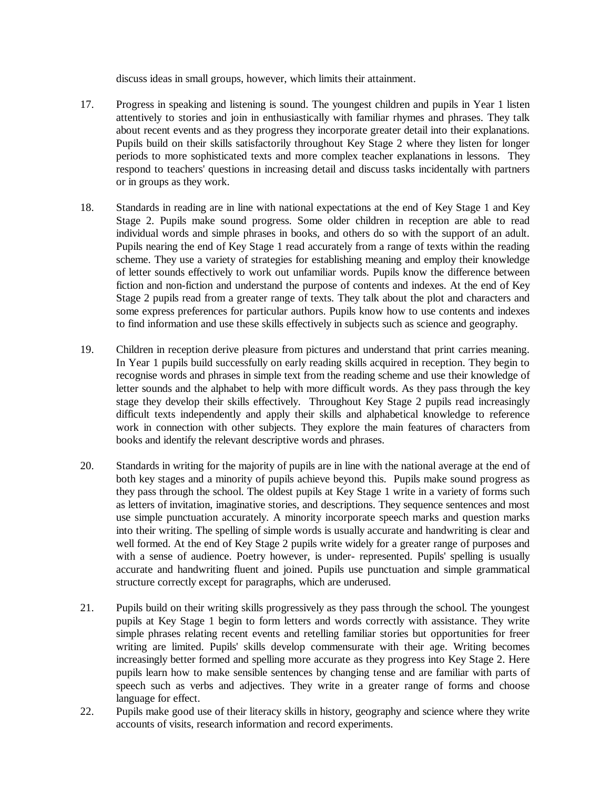discuss ideas in small groups, however, which limits their attainment.

- 17. Progress in speaking and listening is sound. The youngest children and pupils in Year 1 listen attentively to stories and join in enthusiastically with familiar rhymes and phrases. They talk about recent events and as they progress they incorporate greater detail into their explanations. Pupils build on their skills satisfactorily throughout Key Stage 2 where they listen for longer periods to more sophisticated texts and more complex teacher explanations in lessons. They respond to teachers' questions in increasing detail and discuss tasks incidentally with partners or in groups as they work.
- 18. Standards in reading are in line with national expectations at the end of Key Stage 1 and Key Stage 2. Pupils make sound progress. Some older children in reception are able to read individual words and simple phrases in books, and others do so with the support of an adult. Pupils nearing the end of Key Stage 1 read accurately from a range of texts within the reading scheme. They use a variety of strategies for establishing meaning and employ their knowledge of letter sounds effectively to work out unfamiliar words. Pupils know the difference between fiction and non-fiction and understand the purpose of contents and indexes. At the end of Key Stage 2 pupils read from a greater range of texts. They talk about the plot and characters and some express preferences for particular authors. Pupils know how to use contents and indexes to find information and use these skills effectively in subjects such as science and geography.
- 19. Children in reception derive pleasure from pictures and understand that print carries meaning. In Year 1 pupils build successfully on early reading skills acquired in reception. They begin to recognise words and phrases in simple text from the reading scheme and use their knowledge of letter sounds and the alphabet to help with more difficult words. As they pass through the key stage they develop their skills effectively. Throughout Key Stage 2 pupils read increasingly difficult texts independently and apply their skills and alphabetical knowledge to reference work in connection with other subjects. They explore the main features of characters from books and identify the relevant descriptive words and phrases.
- 20. Standards in writing for the majority of pupils are in line with the national average at the end of both key stages and a minority of pupils achieve beyond this. Pupils make sound progress as they pass through the school. The oldest pupils at Key Stage 1 write in a variety of forms such as letters of invitation, imaginative stories, and descriptions. They sequence sentences and most use simple punctuation accurately. A minority incorporate speech marks and question marks into their writing. The spelling of simple words is usually accurate and handwriting is clear and well formed. At the end of Key Stage 2 pupils write widely for a greater range of purposes and with a sense of audience. Poetry however, is under- represented. Pupils' spelling is usually accurate and handwriting fluent and joined. Pupils use punctuation and simple grammatical structure correctly except for paragraphs, which are underused.
- 21. Pupils build on their writing skills progressively as they pass through the school. The youngest pupils at Key Stage 1 begin to form letters and words correctly with assistance. They write simple phrases relating recent events and retelling familiar stories but opportunities for freer writing are limited. Pupils' skills develop commensurate with their age. Writing becomes increasingly better formed and spelling more accurate as they progress into Key Stage 2. Here pupils learn how to make sensible sentences by changing tense and are familiar with parts of speech such as verbs and adjectives. They write in a greater range of forms and choose language for effect.
- 22. Pupils make good use of their literacy skills in history, geography and science where they write accounts of visits, research information and record experiments.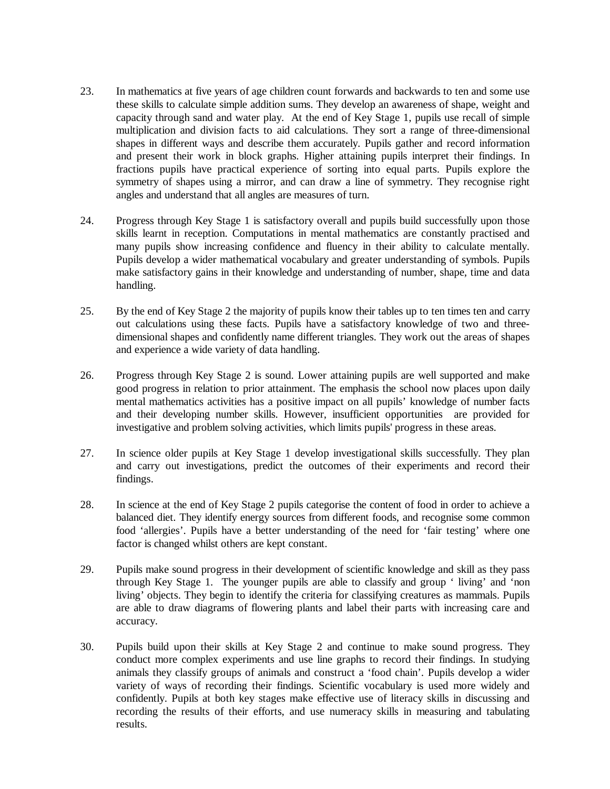- 23. In mathematics at five years of age children count forwards and backwards to ten and some use these skills to calculate simple addition sums. They develop an awareness of shape, weight and capacity through sand and water play. At the end of Key Stage 1, pupils use recall of simple multiplication and division facts to aid calculations. They sort a range of three-dimensional shapes in different ways and describe them accurately. Pupils gather and record information and present their work in block graphs. Higher attaining pupils interpret their findings. In fractions pupils have practical experience of sorting into equal parts. Pupils explore the symmetry of shapes using a mirror, and can draw a line of symmetry. They recognise right angles and understand that all angles are measures of turn.
- 24. Progress through Key Stage 1 is satisfactory overall and pupils build successfully upon those skills learnt in reception. Computations in mental mathematics are constantly practised and many pupils show increasing confidence and fluency in their ability to calculate mentally. Pupils develop a wider mathematical vocabulary and greater understanding of symbols. Pupils make satisfactory gains in their knowledge and understanding of number, shape, time and data handling.
- 25. By the end of Key Stage 2 the majority of pupils know their tables up to ten times ten and carry out calculations using these facts. Pupils have a satisfactory knowledge of two and threedimensional shapes and confidently name different triangles. They work out the areas of shapes and experience a wide variety of data handling.
- 26. Progress through Key Stage 2 is sound. Lower attaining pupils are well supported and make good progress in relation to prior attainment. The emphasis the school now places upon daily mental mathematics activities has a positive impact on all pupils' knowledge of number facts and their developing number skills. However, insufficient opportunities are provided for investigative and problem solving activities, which limits pupils' progress in these areas.
- 27. In science older pupils at Key Stage 1 develop investigational skills successfully. They plan and carry out investigations, predict the outcomes of their experiments and record their findings.
- 28. In science at the end of Key Stage 2 pupils categorise the content of food in order to achieve a balanced diet. They identify energy sources from different foods, and recognise some common food 'allergies'. Pupils have a better understanding of the need for 'fair testing' where one factor is changed whilst others are kept constant.
- 29. Pupils make sound progress in their development of scientific knowledge and skill as they pass through Key Stage 1. The younger pupils are able to classify and group ' living' and 'non living' objects. They begin to identify the criteria for classifying creatures as mammals. Pupils are able to draw diagrams of flowering plants and label their parts with increasing care and accuracy.
- 30. Pupils build upon their skills at Key Stage 2 and continue to make sound progress. They conduct more complex experiments and use line graphs to record their findings. In studying animals they classify groups of animals and construct a 'food chain'. Pupils develop a wider variety of ways of recording their findings. Scientific vocabulary is used more widely and confidently. Pupils at both key stages make effective use of literacy skills in discussing and recording the results of their efforts, and use numeracy skills in measuring and tabulating results.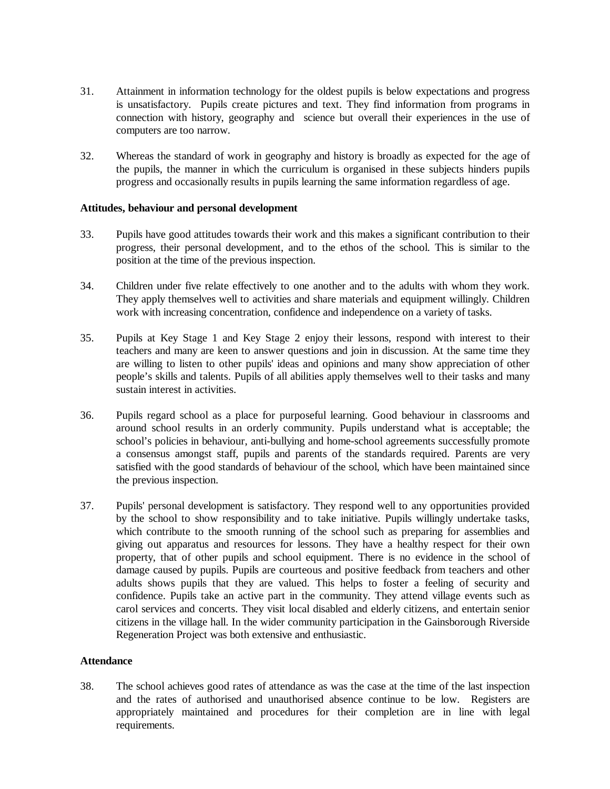- 31. Attainment in information technology for the oldest pupils is below expectations and progress is unsatisfactory. Pupils create pictures and text. They find information from programs in connection with history, geography and science but overall their experiences in the use of computers are too narrow.
- 32. Whereas the standard of work in geography and history is broadly as expected for the age of the pupils, the manner in which the curriculum is organised in these subjects hinders pupils progress and occasionally results in pupils learning the same information regardless of age.

#### **Attitudes, behaviour and personal development**

- 33. Pupils have good attitudes towards their work and this makes a significant contribution to their progress, their personal development, and to the ethos of the school. This is similar to the position at the time of the previous inspection.
- 34. Children under five relate effectively to one another and to the adults with whom they work. They apply themselves well to activities and share materials and equipment willingly. Children work with increasing concentration, confidence and independence on a variety of tasks.
- 35. Pupils at Key Stage 1 and Key Stage 2 enjoy their lessons, respond with interest to their teachers and many are keen to answer questions and join in discussion. At the same time they are willing to listen to other pupils' ideas and opinions and many show appreciation of other people's skills and talents. Pupils of all abilities apply themselves well to their tasks and many sustain interest in activities.
- 36. Pupils regard school as a place for purposeful learning. Good behaviour in classrooms and around school results in an orderly community. Pupils understand what is acceptable; the school's policies in behaviour, anti-bullying and home-school agreements successfully promote a consensus amongst staff, pupils and parents of the standards required. Parents are very satisfied with the good standards of behaviour of the school, which have been maintained since the previous inspection.
- 37. Pupils' personal development is satisfactory. They respond well to any opportunities provided by the school to show responsibility and to take initiative. Pupils willingly undertake tasks, which contribute to the smooth running of the school such as preparing for assemblies and giving out apparatus and resources for lessons. They have a healthy respect for their own property, that of other pupils and school equipment. There is no evidence in the school of damage caused by pupils. Pupils are courteous and positive feedback from teachers and other adults shows pupils that they are valued. This helps to foster a feeling of security and confidence. Pupils take an active part in the community. They attend village events such as carol services and concerts. They visit local disabled and elderly citizens, and entertain senior citizens in the village hall. In the wider community participation in the Gainsborough Riverside Regeneration Project was both extensive and enthusiastic.

#### **Attendance**

38. The school achieves good rates of attendance as was the case at the time of the last inspection and the rates of authorised and unauthorised absence continue to be low. Registers are appropriately maintained and procedures for their completion are in line with legal requirements.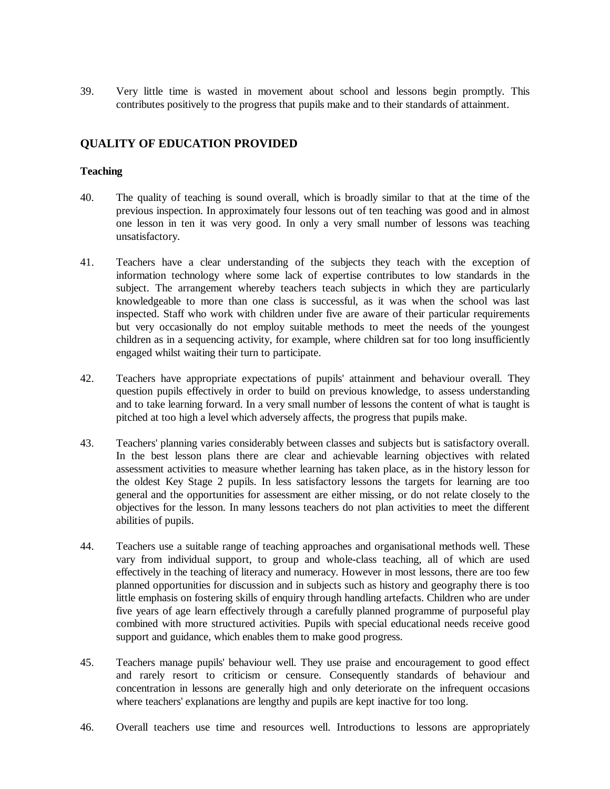39. Very little time is wasted in movement about school and lessons begin promptly. This contributes positively to the progress that pupils make and to their standards of attainment.

## **QUALITY OF EDUCATION PROVIDED**

## **Teaching**

- 40. The quality of teaching is sound overall, which is broadly similar to that at the time of the previous inspection. In approximately four lessons out of ten teaching was good and in almost one lesson in ten it was very good. In only a very small number of lessons was teaching unsatisfactory.
- 41. Teachers have a clear understanding of the subjects they teach with the exception of information technology where some lack of expertise contributes to low standards in the subject. The arrangement whereby teachers teach subjects in which they are particularly knowledgeable to more than one class is successful, as it was when the school was last inspected. Staff who work with children under five are aware of their particular requirements but very occasionally do not employ suitable methods to meet the needs of the youngest children as in a sequencing activity, for example, where children sat for too long insufficiently engaged whilst waiting their turn to participate.
- 42. Teachers have appropriate expectations of pupils' attainment and behaviour overall. They question pupils effectively in order to build on previous knowledge, to assess understanding and to take learning forward. In a very small number of lessons the content of what is taught is pitched at too high a level which adversely affects, the progress that pupils make.
- 43. Teachers' planning varies considerably between classes and subjects but is satisfactory overall. In the best lesson plans there are clear and achievable learning objectives with related assessment activities to measure whether learning has taken place, as in the history lesson for the oldest Key Stage 2 pupils. In less satisfactory lessons the targets for learning are too general and the opportunities for assessment are either missing, or do not relate closely to the objectives for the lesson. In many lessons teachers do not plan activities to meet the different abilities of pupils.
- 44. Teachers use a suitable range of teaching approaches and organisational methods well. These vary from individual support, to group and whole-class teaching, all of which are used effectively in the teaching of literacy and numeracy. However in most lessons, there are too few planned opportunities for discussion and in subjects such as history and geography there is too little emphasis on fostering skills of enquiry through handling artefacts. Children who are under five years of age learn effectively through a carefully planned programme of purposeful play combined with more structured activities. Pupils with special educational needs receive good support and guidance, which enables them to make good progress.
- 45. Teachers manage pupils' behaviour well. They use praise and encouragement to good effect and rarely resort to criticism or censure. Consequently standards of behaviour and concentration in lessons are generally high and only deteriorate on the infrequent occasions where teachers' explanations are lengthy and pupils are kept inactive for too long.
- 46. Overall teachers use time and resources well. Introductions to lessons are appropriately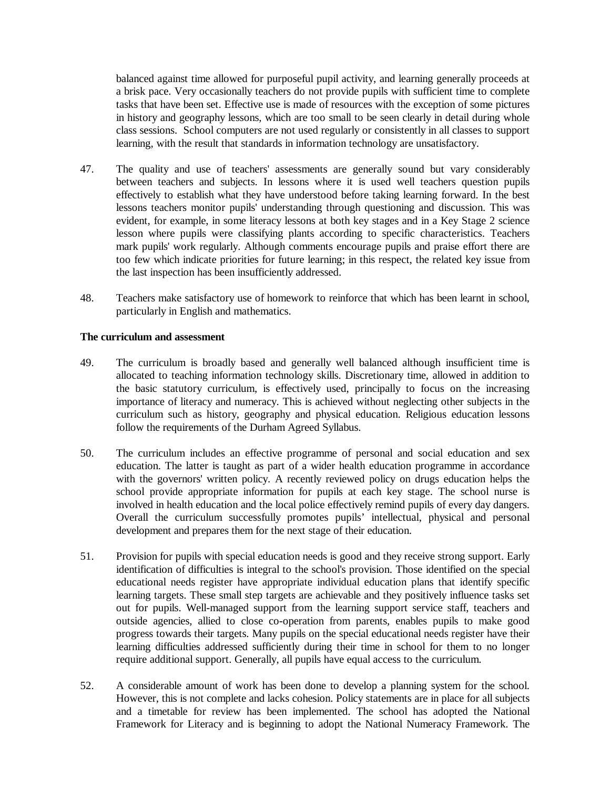balanced against time allowed for purposeful pupil activity, and learning generally proceeds at a brisk pace. Very occasionally teachers do not provide pupils with sufficient time to complete tasks that have been set. Effective use is made of resources with the exception of some pictures in history and geography lessons, which are too small to be seen clearly in detail during whole class sessions. School computers are not used regularly or consistently in all classes to support learning, with the result that standards in information technology are unsatisfactory.

- 47. The quality and use of teachers' assessments are generally sound but vary considerably between teachers and subjects. In lessons where it is used well teachers question pupils effectively to establish what they have understood before taking learning forward. In the best lessons teachers monitor pupils' understanding through questioning and discussion. This was evident, for example, in some literacy lessons at both key stages and in a Key Stage 2 science lesson where pupils were classifying plants according to specific characteristics. Teachers mark pupils' work regularly. Although comments encourage pupils and praise effort there are too few which indicate priorities for future learning; in this respect, the related key issue from the last inspection has been insufficiently addressed.
- 48. Teachers make satisfactory use of homework to reinforce that which has been learnt in school, particularly in English and mathematics.

## **The curriculum and assessment**

- 49. The curriculum is broadly based and generally well balanced although insufficient time is allocated to teaching information technology skills. Discretionary time, allowed in addition to the basic statutory curriculum, is effectively used, principally to focus on the increasing importance of literacy and numeracy. This is achieved without neglecting other subjects in the curriculum such as history, geography and physical education. Religious education lessons follow the requirements of the Durham Agreed Syllabus.
- 50. The curriculum includes an effective programme of personal and social education and sex education. The latter is taught as part of a wider health education programme in accordance with the governors' written policy. A recently reviewed policy on drugs education helps the school provide appropriate information for pupils at each key stage. The school nurse is involved in health education and the local police effectively remind pupils of every day dangers. Overall the curriculum successfully promotes pupils' intellectual, physical and personal development and prepares them for the next stage of their education.
- 51. Provision for pupils with special education needs is good and they receive strong support. Early identification of difficulties is integral to the school's provision. Those identified on the special educational needs register have appropriate individual education plans that identify specific learning targets. These small step targets are achievable and they positively influence tasks set out for pupils. Well-managed support from the learning support service staff, teachers and outside agencies, allied to close co-operation from parents, enables pupils to make good progress towards their targets. Many pupils on the special educational needs register have their learning difficulties addressed sufficiently during their time in school for them to no longer require additional support. Generally, all pupils have equal access to the curriculum.
- 52. A considerable amount of work has been done to develop a planning system for the school. However, this is not complete and lacks cohesion. Policy statements are in place for all subjects and a timetable for review has been implemented. The school has adopted the National Framework for Literacy and is beginning to adopt the National Numeracy Framework. The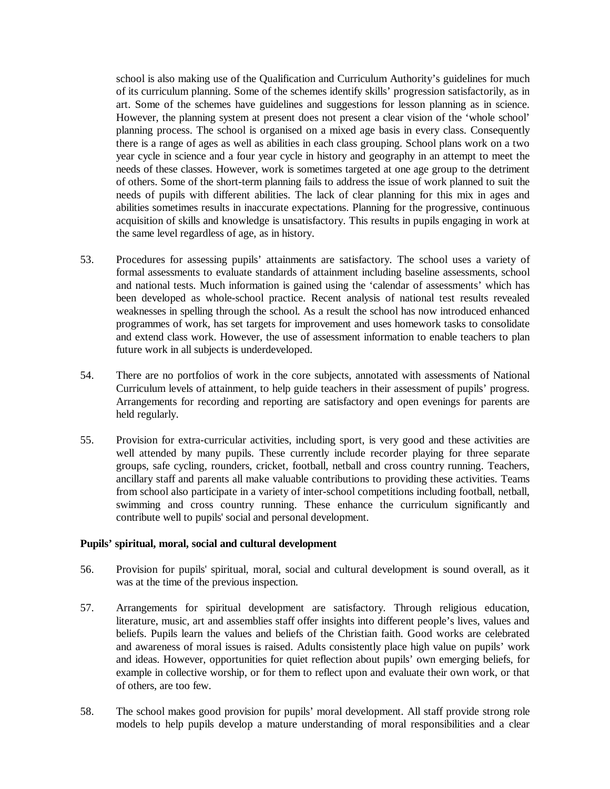school is also making use of the Qualification and Curriculum Authority's guidelines for much of its curriculum planning. Some of the schemes identify skills' progression satisfactorily, as in art. Some of the schemes have guidelines and suggestions for lesson planning as in science. However, the planning system at present does not present a clear vision of the 'whole school' planning process. The school is organised on a mixed age basis in every class. Consequently there is a range of ages as well as abilities in each class grouping. School plans work on a two year cycle in science and a four year cycle in history and geography in an attempt to meet the needs of these classes. However, work is sometimes targeted at one age group to the detriment of others. Some of the short-term planning fails to address the issue of work planned to suit the needs of pupils with different abilities. The lack of clear planning for this mix in ages and abilities sometimes results in inaccurate expectations. Planning for the progressive, continuous acquisition of skills and knowledge is unsatisfactory. This results in pupils engaging in work at the same level regardless of age, as in history.

- 53. Procedures for assessing pupils' attainments are satisfactory. The school uses a variety of formal assessments to evaluate standards of attainment including baseline assessments, school and national tests. Much information is gained using the 'calendar of assessments' which has been developed as whole-school practice. Recent analysis of national test results revealed weaknesses in spelling through the school. As a result the school has now introduced enhanced programmes of work, has set targets for improvement and uses homework tasks to consolidate and extend class work. However, the use of assessment information to enable teachers to plan future work in all subjects is underdeveloped.
- 54. There are no portfolios of work in the core subjects, annotated with assessments of National Curriculum levels of attainment, to help guide teachers in their assessment of pupils' progress. Arrangements for recording and reporting are satisfactory and open evenings for parents are held regularly.
- 55. Provision for extra-curricular activities, including sport, is very good and these activities are well attended by many pupils. These currently include recorder playing for three separate groups, safe cycling, rounders, cricket, football, netball and cross country running. Teachers, ancillary staff and parents all make valuable contributions to providing these activities. Teams from school also participate in a variety of inter-school competitions including football, netball, swimming and cross country running. These enhance the curriculum significantly and contribute well to pupils' social and personal development.

#### **Pupils' spiritual, moral, social and cultural development**

- 56. Provision for pupils' spiritual, moral, social and cultural development is sound overall, as it was at the time of the previous inspection.
- 57. Arrangements for spiritual development are satisfactory. Through religious education, literature, music, art and assemblies staff offer insights into different people's lives, values and beliefs. Pupils learn the values and beliefs of the Christian faith. Good works are celebrated and awareness of moral issues is raised. Adults consistently place high value on pupils' work and ideas. However, opportunities for quiet reflection about pupils' own emerging beliefs, for example in collective worship, or for them to reflect upon and evaluate their own work, or that of others, are too few.
- 58. The school makes good provision for pupils' moral development. All staff provide strong role models to help pupils develop a mature understanding of moral responsibilities and a clear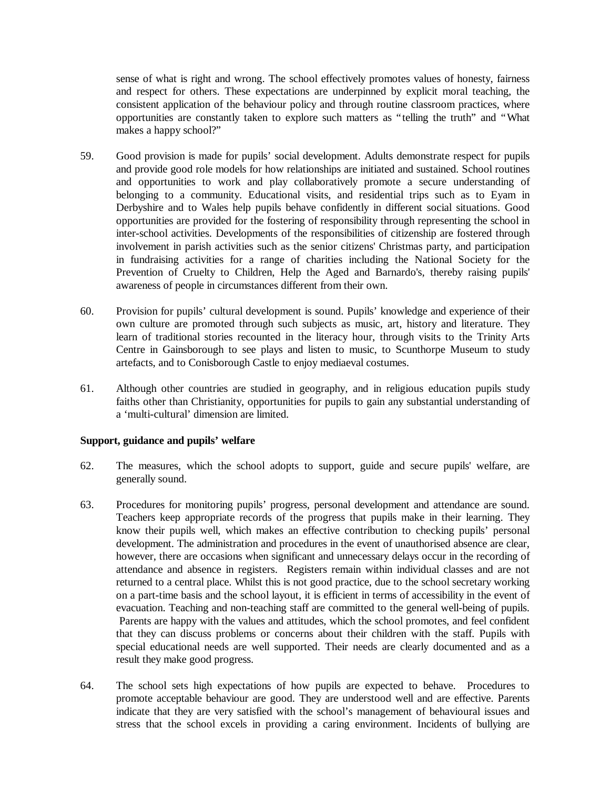sense of what is right and wrong. The school effectively promotes values of honesty, fairness and respect for others. These expectations are underpinned by explicit moral teaching, the consistent application of the behaviour policy and through routine classroom practices, where opportunities are constantly taken to explore such matters as "telling the truth" and "What makes a happy school?"

- 59. Good provision is made for pupils' social development. Adults demonstrate respect for pupils and provide good role models for how relationships are initiated and sustained. School routines and opportunities to work and play collaboratively promote a secure understanding of belonging to a community. Educational visits, and residential trips such as to Eyam in Derbyshire and to Wales help pupils behave confidently in different social situations. Good opportunities are provided for the fostering of responsibility through representing the school in inter-school activities. Developments of the responsibilities of citizenship are fostered through involvement in parish activities such as the senior citizens' Christmas party, and participation in fundraising activities for a range of charities including the National Society for the Prevention of Cruelty to Children, Help the Aged and Barnardo's, thereby raising pupils' awareness of people in circumstances different from their own.
- 60. Provision for pupils' cultural development is sound. Pupils' knowledge and experience of their own culture are promoted through such subjects as music, art, history and literature. They learn of traditional stories recounted in the literacy hour, through visits to the Trinity Arts Centre in Gainsborough to see plays and listen to music, to Scunthorpe Museum to study artefacts, and to Conisborough Castle to enjoy mediaeval costumes.
- 61. Although other countries are studied in geography, and in religious education pupils study faiths other than Christianity, opportunities for pupils to gain any substantial understanding of a 'multi-cultural' dimension are limited.

## **Support, guidance and pupils' welfare**

- 62. The measures, which the school adopts to support, guide and secure pupils' welfare, are generally sound.
- 63. Procedures for monitoring pupils' progress, personal development and attendance are sound. Teachers keep appropriate records of the progress that pupils make in their learning. They know their pupils well, which makes an effective contribution to checking pupils' personal development. The administration and procedures in the event of unauthorised absence are clear, however, there are occasions when significant and unnecessary delays occur in the recording of attendance and absence in registers. Registers remain within individual classes and are not returned to a central place. Whilst this is not good practice, due to the school secretary working on a part-time basis and the school layout, it is efficient in terms of accessibility in the event of evacuation. Teaching and non-teaching staff are committed to the general well-being of pupils. Parents are happy with the values and attitudes, which the school promotes, and feel confident that they can discuss problems or concerns about their children with the staff. Pupils with special educational needs are well supported. Their needs are clearly documented and as a result they make good progress.
- 64. The school sets high expectations of how pupils are expected to behave. Procedures to promote acceptable behaviour are good. They are understood well and are effective. Parents indicate that they are very satisfied with the school's management of behavioural issues and stress that the school excels in providing a caring environment. Incidents of bullying are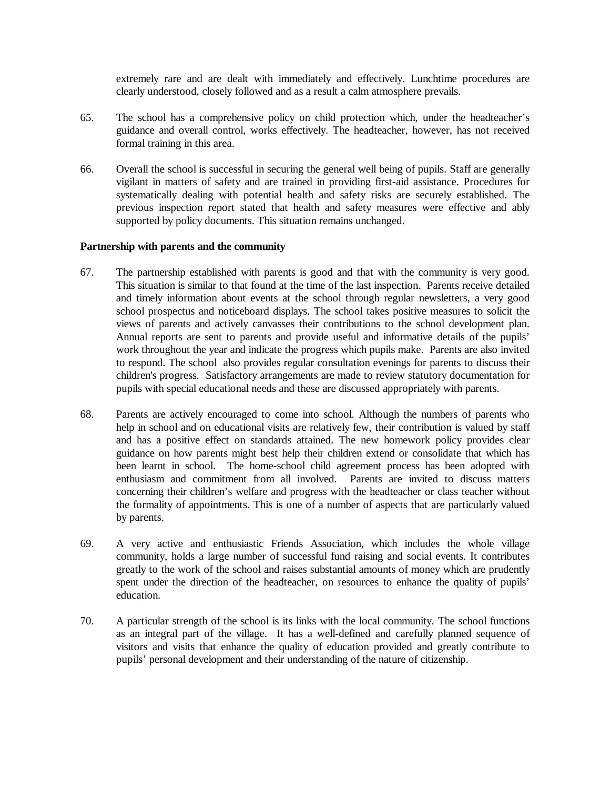extremely rare and are dealt with immediately and effectively. Lunchtime procedures are clearly understood, closely followed and as a result a calm atmosphere prevails.

- 65. The school has a comprehensive policy on child protection which, under the headteacher's guidance and overall control, works effectively. The headteacher, however, has not received formal training in this area.
- 66. Overall the school is successful in securing the general well being of pupils. Staff are generally vigilant in matters of safety and are trained in providing first-aid assistance. Procedures for systematically dealing with potential health and safety risks are securely established. The previous inspection report stated that health and safety measures were effective and ably supported by policy documents. This situation remains unchanged.

#### **Partnership with parents and the community**

- 67. The partnership established with parents is good and that with the community is very good. This situation is similar to that found at the time of the last inspection. Parents receive detailed and timely information about events at the school through regular newsletters, a very good school prospectus and noticeboard displays. The school takes positive measures to solicit the views of parents and actively canvasses their contributions to the school development plan. Annual reports are sent to parents and provide useful and informative details of the pupils' work throughout the year and indicate the progress which pupils make. Parents are also invited to respond. The school also provides regular consultation evenings for parents to discuss their children's progress. Satisfactory arrangements are made to review statutory documentation for pupils with special educational needs and these are discussed appropriately with parents.
- 68. Parents are actively encouraged to come into school. Although the numbers of parents who help in school and on educational visits are relatively few, their contribution is valued by staff and has a positive effect on standards attained. The new homework policy provides clear guidance on how parents might best help their children extend or consolidate that which has been learnt in school. The home-school child agreement process has been adopted with enthusiasm and commitment from all involved. Parents are invited to discuss matters concerning their children's welfare and progress with the headteacher or class teacher without the formality of appointments. This is one of a number of aspects that are particularly valued by parents.
- 69. A very active and enthusiastic Friends Association, which includes the whole village community, holds a large number of successful fund raising and social events. It contributes greatly to the work of the school and raises substantial amounts of money which are prudently spent under the direction of the headteacher, on resources to enhance the quality of pupils' education.
- 70. A particular strength of the school is its links with the local community. The school functions as an integral part of the village. It has a well-defined and carefully planned sequence of visitors and visits that enhance the quality of education provided and greatly contribute to pupils' personal development and their understanding of the nature of citizenship.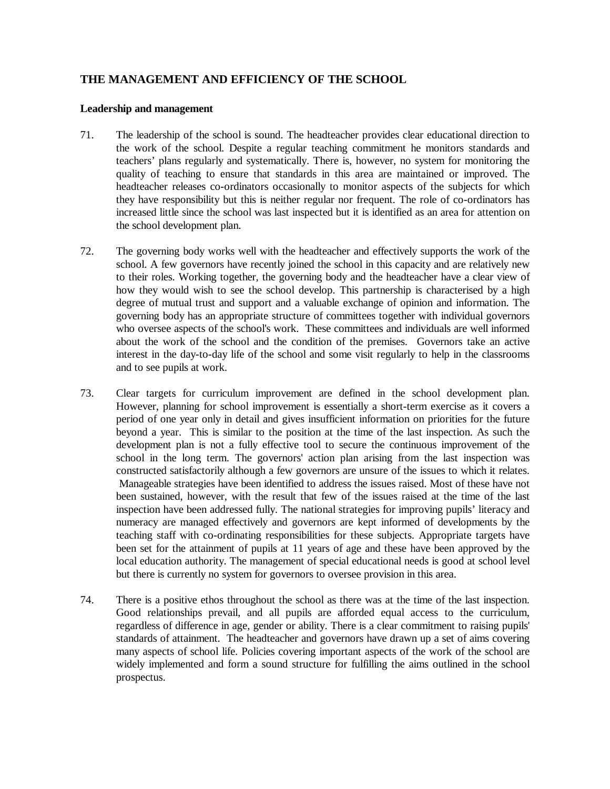## **THE MANAGEMENT AND EFFICIENCY OF THE SCHOOL**

#### **Leadership and management**

- 71. The leadership of the school is sound. The headteacher provides clear educational direction to the work of the school. Despite a regular teaching commitment he monitors standards and teachers' plans regularly and systematically. There is, however, no system for monitoring the quality of teaching to ensure that standards in this area are maintained or improved. The headteacher releases co-ordinators occasionally to monitor aspects of the subjects for which they have responsibility but this is neither regular nor frequent. The role of co-ordinators has increased little since the school was last inspected but it is identified as an area for attention on the school development plan.
- 72. The governing body works well with the headteacher and effectively supports the work of the school. A few governors have recently joined the school in this capacity and are relatively new to their roles. Working together, the governing body and the headteacher have a clear view of how they would wish to see the school develop. This partnership is characterised by a high degree of mutual trust and support and a valuable exchange of opinion and information. The governing body has an appropriate structure of committees together with individual governors who oversee aspects of the school's work. These committees and individuals are well informed about the work of the school and the condition of the premises. Governors take an active interest in the day-to-day life of the school and some visit regularly to help in the classrooms and to see pupils at work.
- 73. Clear targets for curriculum improvement are defined in the school development plan. However, planning for school improvement is essentially a short-term exercise as it covers a period of one year only in detail and gives insufficient information on priorities for the future beyond a year. This is similar to the position at the time of the last inspection. As such the development plan is not a fully effective tool to secure the continuous improvement of the school in the long term. The governors' action plan arising from the last inspection was constructed satisfactorily although a few governors are unsure of the issues to which it relates. Manageable strategies have been identified to address the issues raised. Most of these have not been sustained, however, with the result that few of the issues raised at the time of the last inspection have been addressed fully. The national strategies for improving pupils' literacy and numeracy are managed effectively and governors are kept informed of developments by the teaching staff with co-ordinating responsibilities for these subjects. Appropriate targets have been set for the attainment of pupils at 11 years of age and these have been approved by the local education authority. The management of special educational needs is good at school level but there is currently no system for governors to oversee provision in this area.
- 74. There is a positive ethos throughout the school as there was at the time of the last inspection. Good relationships prevail, and all pupils are afforded equal access to the curriculum, regardless of difference in age, gender or ability. There is a clear commitment to raising pupils' standards of attainment. The headteacher and governors have drawn up a set of aims covering many aspects of school life. Policies covering important aspects of the work of the school are widely implemented and form a sound structure for fulfilling the aims outlined in the school prospectus.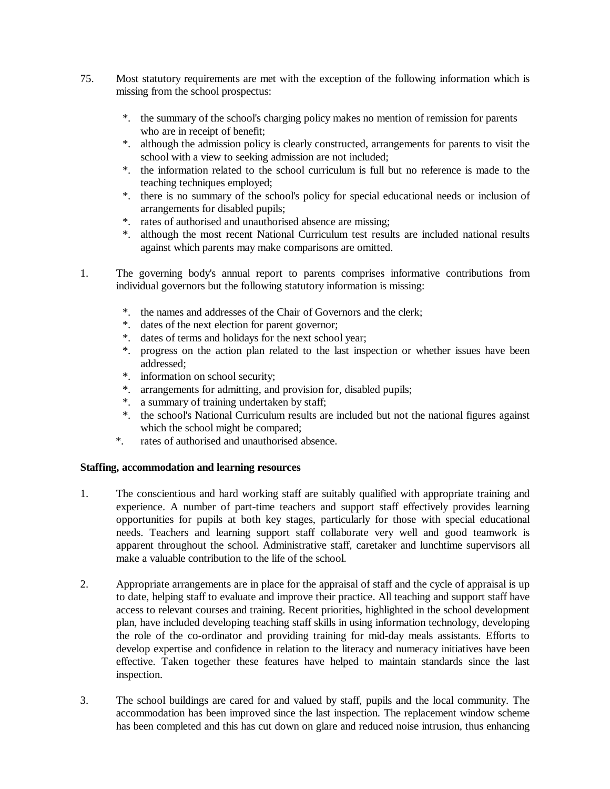- 75. Most statutory requirements are met with the exception of the following information which is missing from the school prospectus:
	- \*. the summary of the school's charging policy makes no mention of remission for parents who are in receipt of benefit;
	- \*. although the admission policy is clearly constructed, arrangements for parents to visit the school with a view to seeking admission are not included;
	- \*. the information related to the school curriculum is full but no reference is made to the teaching techniques employed;
	- \*. there is no summary of the school's policy for special educational needs or inclusion of arrangements for disabled pupils;
	- \*. rates of authorised and unauthorised absence are missing;
	- \*. although the most recent National Curriculum test results are included national results against which parents may make comparisons are omitted.
- 1. The governing body's annual report to parents comprises informative contributions from individual governors but the following statutory information is missing:
	- \*. the names and addresses of the Chair of Governors and the clerk;
	- \*. dates of the next election for parent governor;
	- \*. dates of terms and holidays for the next school year;
	- \*. progress on the action plan related to the last inspection or whether issues have been addressed;
	- \*. information on school security;
	- \*. arrangements for admitting, and provision for, disabled pupils;
	- \*. a summary of training undertaken by staff;
	- \*. the school's National Curriculum results are included but not the national figures against which the school might be compared;
	- \*. rates of authorised and unauthorised absence.

## **Staffing, accommodation and learning resources**

- 1. The conscientious and hard working staff are suitably qualified with appropriate training and experience. A number of part-time teachers and support staff effectively provides learning opportunities for pupils at both key stages, particularly for those with special educational needs. Teachers and learning support staff collaborate very well and good teamwork is apparent throughout the school. Administrative staff, caretaker and lunchtime supervisors all make a valuable contribution to the life of the school.
- 2. Appropriate arrangements are in place for the appraisal of staff and the cycle of appraisal is up to date, helping staff to evaluate and improve their practice. All teaching and support staff have access to relevant courses and training. Recent priorities, highlighted in the school development plan, have included developing teaching staff skills in using information technology, developing the role of the co-ordinator and providing training for mid-day meals assistants. Efforts to develop expertise and confidence in relation to the literacy and numeracy initiatives have been effective. Taken together these features have helped to maintain standards since the last inspection.
- 3. The school buildings are cared for and valued by staff, pupils and the local community. The accommodation has been improved since the last inspection. The replacement window scheme has been completed and this has cut down on glare and reduced noise intrusion, thus enhancing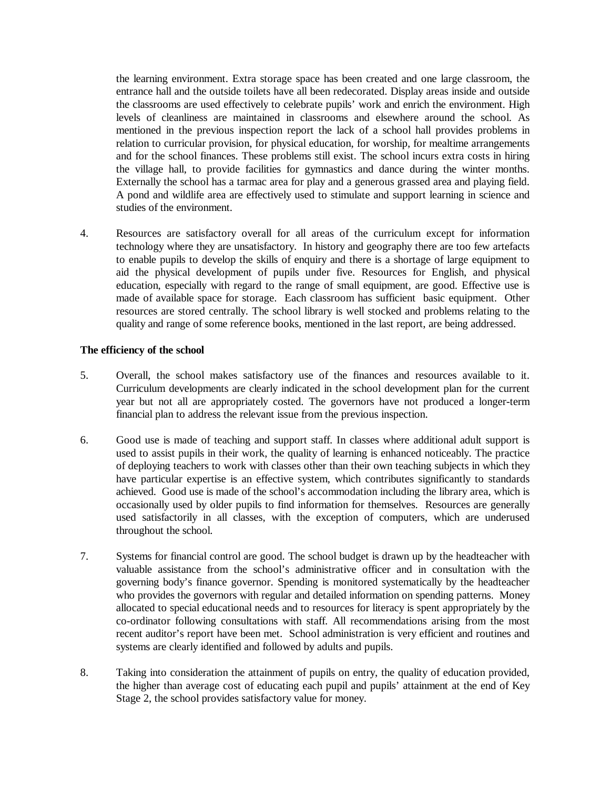the learning environment. Extra storage space has been created and one large classroom, the entrance hall and the outside toilets have all been redecorated. Display areas inside and outside the classrooms are used effectively to celebrate pupils' work and enrich the environment. High levels of cleanliness are maintained in classrooms and elsewhere around the school. As mentioned in the previous inspection report the lack of a school hall provides problems in relation to curricular provision, for physical education, for worship, for mealtime arrangements and for the school finances. These problems still exist. The school incurs extra costs in hiring the village hall, to provide facilities for gymnastics and dance during the winter months. Externally the school has a tarmac area for play and a generous grassed area and playing field. A pond and wildlife area are effectively used to stimulate and support learning in science and studies of the environment.

4. Resources are satisfactory overall for all areas of the curriculum except for information technology where they are unsatisfactory. In history and geography there are too few artefacts to enable pupils to develop the skills of enquiry and there is a shortage of large equipment to aid the physical development of pupils under five. Resources for English, and physical education, especially with regard to the range of small equipment, are good. Effective use is made of available space for storage. Each classroom has sufficient basic equipment. Other resources are stored centrally. The school library is well stocked and problems relating to the quality and range of some reference books, mentioned in the last report, are being addressed.

#### **The efficiency of the school**

- 5. Overall, the school makes satisfactory use of the finances and resources available to it. Curriculum developments are clearly indicated in the school development plan for the current year but not all are appropriately costed. The governors have not produced a longer-term financial plan to address the relevant issue from the previous inspection.
- 6. Good use is made of teaching and support staff. In classes where additional adult support is used to assist pupils in their work, the quality of learning is enhanced noticeably. The practice of deploying teachers to work with classes other than their own teaching subjects in which they have particular expertise is an effective system, which contributes significantly to standards achieved. Good use is made of the school's accommodation including the library area, which is occasionally used by older pupils to find information for themselves. Resources are generally used satisfactorily in all classes, with the exception of computers, which are underused throughout the school.
- 7. Systems for financial control are good. The school budget is drawn up by the headteacher with valuable assistance from the school's administrative officer and in consultation with the governing body's finance governor. Spending is monitored systematically by the headteacher who provides the governors with regular and detailed information on spending patterns. Money allocated to special educational needs and to resources for literacy is spent appropriately by the co-ordinator following consultations with staff. All recommendations arising from the most recent auditor's report have been met. School administration is very efficient and routines and systems are clearly identified and followed by adults and pupils.
- 8. Taking into consideration the attainment of pupils on entry, the quality of education provided, the higher than average cost of educating each pupil and pupils' attainment at the end of Key Stage 2, the school provides satisfactory value for money.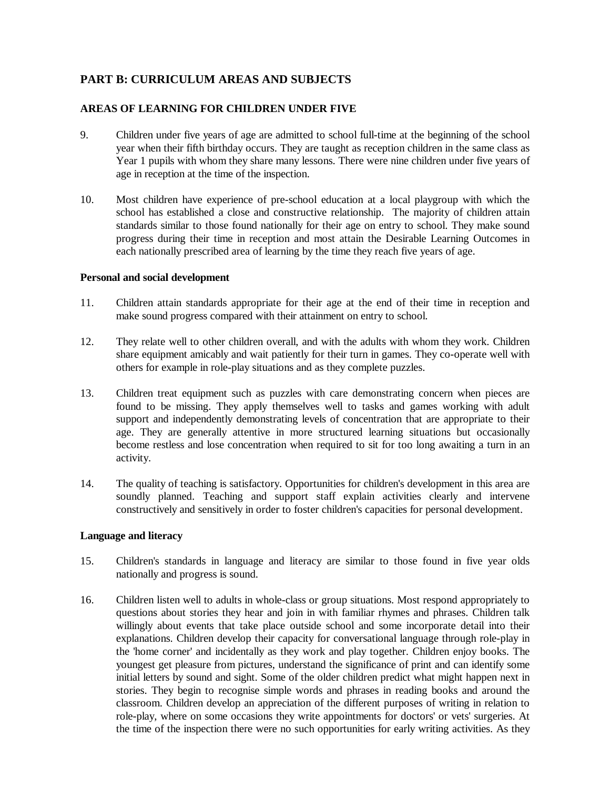## **PART B: CURRICULUM AREAS AND SUBJECTS**

## **AREAS OF LEARNING FOR CHILDREN UNDER FIVE**

- 9. Children under five years of age are admitted to school full-time at the beginning of the school year when their fifth birthday occurs. They are taught as reception children in the same class as Year 1 pupils with whom they share many lessons. There were nine children under five years of age in reception at the time of the inspection.
- 10. Most children have experience of pre-school education at a local playgroup with which the school has established a close and constructive relationship. The majority of children attain standards similar to those found nationally for their age on entry to school. They make sound progress during their time in reception and most attain the Desirable Learning Outcomes in each nationally prescribed area of learning by the time they reach five years of age.

## **Personal and social development**

- 11. Children attain standards appropriate for their age at the end of their time in reception and make sound progress compared with their attainment on entry to school.
- 12. They relate well to other children overall, and with the adults with whom they work. Children share equipment amicably and wait patiently for their turn in games. They co-operate well with others for example in role-play situations and as they complete puzzles.
- 13. Children treat equipment such as puzzles with care demonstrating concern when pieces are found to be missing. They apply themselves well to tasks and games working with adult support and independently demonstrating levels of concentration that are appropriate to their age. They are generally attentive in more structured learning situations but occasionally become restless and lose concentration when required to sit for too long awaiting a turn in an activity.
- 14. The quality of teaching is satisfactory. Opportunities for children's development in this area are soundly planned. Teaching and support staff explain activities clearly and intervene constructively and sensitively in order to foster children's capacities for personal development.

## **Language and literacy**

- 15. Children's standards in language and literacy are similar to those found in five year olds nationally and progress is sound.
- 16. Children listen well to adults in whole-class or group situations. Most respond appropriately to questions about stories they hear and join in with familiar rhymes and phrases. Children talk willingly about events that take place outside school and some incorporate detail into their explanations. Children develop their capacity for conversational language through role-play in the 'home corner' and incidentally as they work and play together. Children enjoy books. The youngest get pleasure from pictures, understand the significance of print and can identify some initial letters by sound and sight. Some of the older children predict what might happen next in stories. They begin to recognise simple words and phrases in reading books and around the classroom. Children develop an appreciation of the different purposes of writing in relation to role-play, where on some occasions they write appointments for doctors' or vets' surgeries. At the time of the inspection there were no such opportunities for early writing activities. As they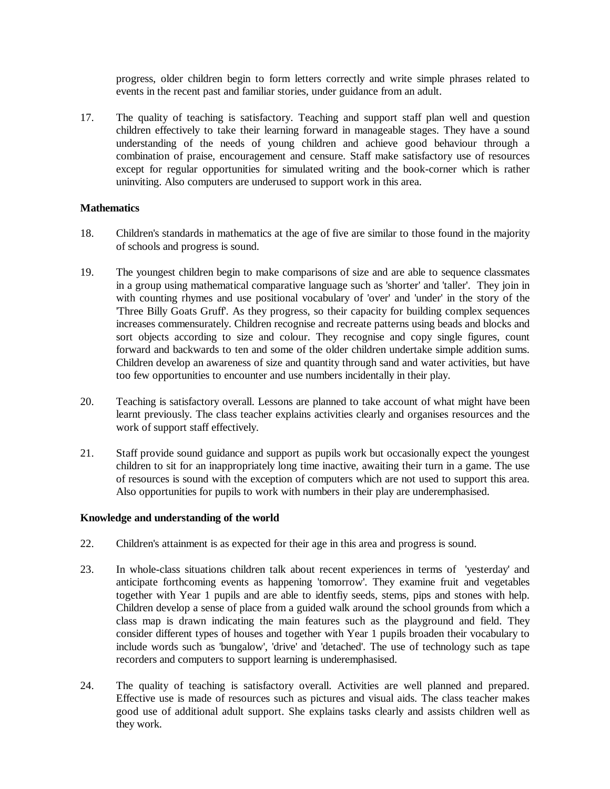progress, older children begin to form letters correctly and write simple phrases related to events in the recent past and familiar stories, under guidance from an adult.

17. The quality of teaching is satisfactory. Teaching and support staff plan well and question children effectively to take their learning forward in manageable stages. They have a sound understanding of the needs of young children and achieve good behaviour through a combination of praise, encouragement and censure. Staff make satisfactory use of resources except for regular opportunities for simulated writing and the book-corner which is rather uninviting. Also computers are underused to support work in this area.

## **Mathematics**

- 18. Children's standards in mathematics at the age of five are similar to those found in the majority of schools and progress is sound.
- 19. The youngest children begin to make comparisons of size and are able to sequence classmates in a group using mathematical comparative language such as 'shorter' and 'taller'. They join in with counting rhymes and use positional vocabulary of 'over' and 'under' in the story of the 'Three Billy Goats Gruff'. As they progress, so their capacity for building complex sequences increases commensurately. Children recognise and recreate patterns using beads and blocks and sort objects according to size and colour. They recognise and copy single figures, count forward and backwards to ten and some of the older children undertake simple addition sums. Children develop an awareness of size and quantity through sand and water activities, but have too few opportunities to encounter and use numbers incidentally in their play.
- 20. Teaching is satisfactory overall. Lessons are planned to take account of what might have been learnt previously. The class teacher explains activities clearly and organises resources and the work of support staff effectively.
- 21. Staff provide sound guidance and support as pupils work but occasionally expect the youngest children to sit for an inappropriately long time inactive, awaiting their turn in a game. The use of resources is sound with the exception of computers which are not used to support this area. Also opportunities for pupils to work with numbers in their play are underemphasised.

## **Knowledge and understanding of the world**

- 22. Children's attainment is as expected for their age in this area and progress is sound.
- 23. In whole-class situations children talk about recent experiences in terms of 'yesterday' and anticipate forthcoming events as happening 'tomorrow'. They examine fruit and vegetables together with Year 1 pupils and are able to identfiy seeds, stems, pips and stones with help. Children develop a sense of place from a guided walk around the school grounds from which a class map is drawn indicating the main features such as the playground and field. They consider different types of houses and together with Year 1 pupils broaden their vocabulary to include words such as 'bungalow', 'drive' and 'detached'. The use of technology such as tape recorders and computers to support learning is underemphasised.
- 24. The quality of teaching is satisfactory overall. Activities are well planned and prepared. Effective use is made of resources such as pictures and visual aids. The class teacher makes good use of additional adult support. She explains tasks clearly and assists children well as they work.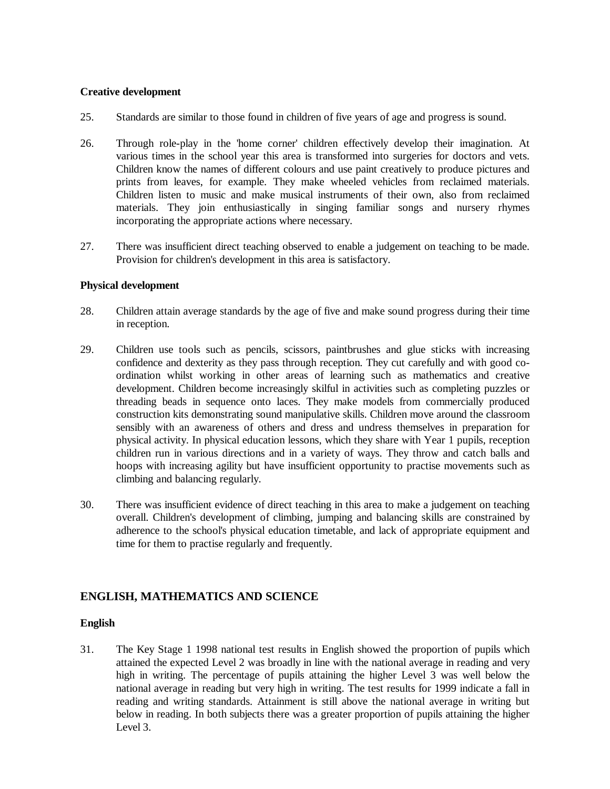#### **Creative development**

- 25. Standards are similar to those found in children of five years of age and progress is sound.
- 26. Through role-play in the 'home corner' children effectively develop their imagination. At various times in the school year this area is transformed into surgeries for doctors and vets. Children know the names of different colours and use paint creatively to produce pictures and prints from leaves, for example. They make wheeled vehicles from reclaimed materials. Children listen to music and make musical instruments of their own, also from reclaimed materials. They join enthusiastically in singing familiar songs and nursery rhymes incorporating the appropriate actions where necessary.
- 27. There was insufficient direct teaching observed to enable a judgement on teaching to be made. Provision for children's development in this area is satisfactory.

## **Physical development**

- 28. Children attain average standards by the age of five and make sound progress during their time in reception.
- 29. Children use tools such as pencils, scissors, paintbrushes and glue sticks with increasing confidence and dexterity as they pass through reception. They cut carefully and with good coordination whilst working in other areas of learning such as mathematics and creative development. Children become increasingly skilful in activities such as completing puzzles or threading beads in sequence onto laces. They make models from commercially produced construction kits demonstrating sound manipulative skills. Children move around the classroom sensibly with an awareness of others and dress and undress themselves in preparation for physical activity. In physical education lessons, which they share with Year 1 pupils, reception children run in various directions and in a variety of ways. They throw and catch balls and hoops with increasing agility but have insufficient opportunity to practise movements such as climbing and balancing regularly.
- 30. There was insufficient evidence of direct teaching in this area to make a judgement on teaching overall. Children's development of climbing, jumping and balancing skills are constrained by adherence to the school's physical education timetable, and lack of appropriate equipment and time for them to practise regularly and frequently.

## **ENGLISH, MATHEMATICS AND SCIENCE**

## **English**

31. The Key Stage 1 1998 national test results in English showed the proportion of pupils which attained the expected Level 2 was broadly in line with the national average in reading and very high in writing. The percentage of pupils attaining the higher Level 3 was well below the national average in reading but very high in writing. The test results for 1999 indicate a fall in reading and writing standards. Attainment is still above the national average in writing but below in reading. In both subjects there was a greater proportion of pupils attaining the higher Level 3.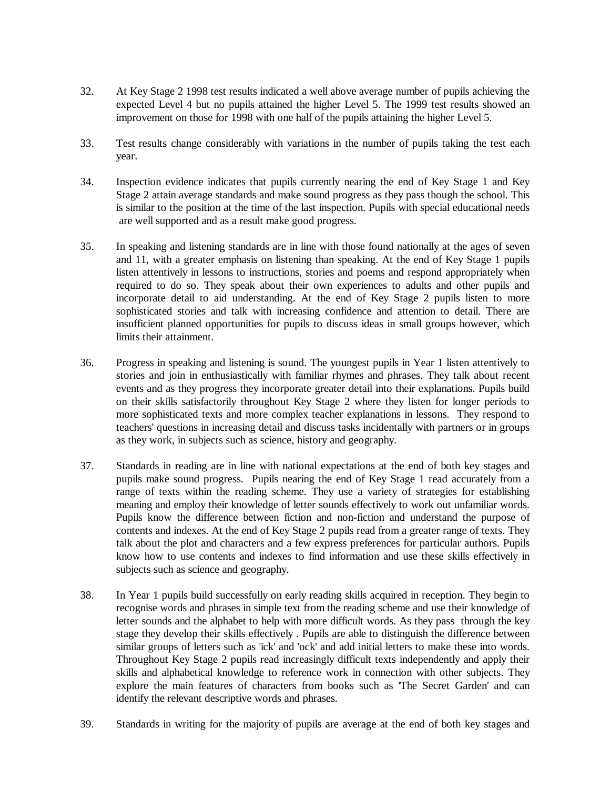- 32. At Key Stage 2 1998 test results indicated a well above average number of pupils achieving the expected Level 4 but no pupils attained the higher Level 5. The 1999 test results showed an improvement on those for 1998 with one half of the pupils attaining the higher Level 5.
- 33. Test results change considerably with variations in the number of pupils taking the test each year.
- 34. Inspection evidence indicates that pupils currently nearing the end of Key Stage 1 and Key Stage 2 attain average standards and make sound progress as they pass though the school. This is similar to the position at the time of the last inspection. Pupils with special educational needs are well supported and as a result make good progress.
- 35. In speaking and listening standards are in line with those found nationally at the ages of seven and 11, with a greater emphasis on listening than speaking. At the end of Key Stage 1 pupils listen attentively in lessons to instructions, stories and poems and respond appropriately when required to do so. They speak about their own experiences to adults and other pupils and incorporate detail to aid understanding. At the end of Key Stage 2 pupils listen to more sophisticated stories and talk with increasing confidence and attention to detail. There are insufficient planned opportunities for pupils to discuss ideas in small groups however, which limits their attainment.
- 36. Progress in speaking and listening is sound. The youngest pupils in Year 1 listen attentively to stories and join in enthusiastically with familiar rhymes and phrases. They talk about recent events and as they progress they incorporate greater detail into their explanations. Pupils build on their skills satisfactorily throughout Key Stage 2 where they listen for longer periods to more sophisticated texts and more complex teacher explanations in lessons. They respond to teachers' questions in increasing detail and discuss tasks incidentally with partners or in groups as they work, in subjects such as science, history and geography.
- 37. Standards in reading are in line with national expectations at the end of both key stages and pupils make sound progress. Pupils nearing the end of Key Stage 1 read accurately from a range of texts within the reading scheme. They use a variety of strategies for establishing meaning and employ their knowledge of letter sounds effectively to work out unfamiliar words. Pupils know the difference between fiction and non-fiction and understand the purpose of contents and indexes. At the end of Key Stage 2 pupils read from a greater range of texts. They talk about the plot and characters and a few express preferences for particular authors. Pupils know how to use contents and indexes to find information and use these skills effectively in subjects such as science and geography.
- 38. In Year 1 pupils build successfully on early reading skills acquired in reception. They begin to recognise words and phrases in simple text from the reading scheme and use their knowledge of letter sounds and the alphabet to help with more difficult words. As they pass through the key stage they develop their skills effectively . Pupils are able to distinguish the difference between similar groups of letters such as 'ick' and 'ock' and add initial letters to make these into words. Throughout Key Stage 2 pupils read increasingly difficult texts independently and apply their skills and alphabetical knowledge to reference work in connection with other subjects. They explore the main features of characters from books such as 'The Secret Garden' and can identify the relevant descriptive words and phrases.
- 39. Standards in writing for the majority of pupils are average at the end of both key stages and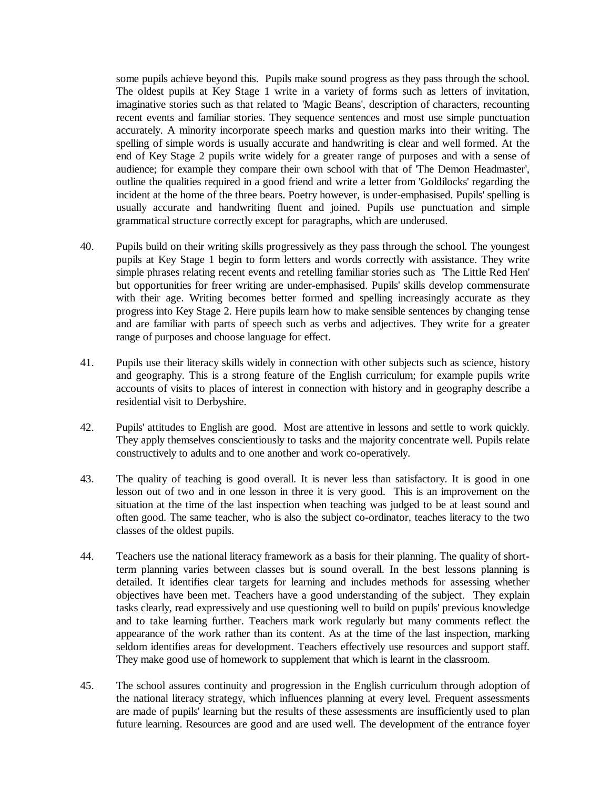some pupils achieve beyond this. Pupils make sound progress as they pass through the school. The oldest pupils at Key Stage 1 write in a variety of forms such as letters of invitation, imaginative stories such as that related to 'Magic Beans', description of characters, recounting recent events and familiar stories. They sequence sentences and most use simple punctuation accurately. A minority incorporate speech marks and question marks into their writing. The spelling of simple words is usually accurate and handwriting is clear and well formed. At the end of Key Stage 2 pupils write widely for a greater range of purposes and with a sense of audience; for example they compare their own school with that of 'The Demon Headmaster', outline the qualities required in a good friend and write a letter from 'Goldilocks' regarding the incident at the home of the three bears. Poetry however, is under-emphasised. Pupils' spelling is usually accurate and handwriting fluent and joined. Pupils use punctuation and simple grammatical structure correctly except for paragraphs, which are underused.

- 40. Pupils build on their writing skills progressively as they pass through the school. The youngest pupils at Key Stage 1 begin to form letters and words correctly with assistance. They write simple phrases relating recent events and retelling familiar stories such as 'The Little Red Hen' but opportunities for freer writing are under-emphasised. Pupils' skills develop commensurate with their age. Writing becomes better formed and spelling increasingly accurate as they progress into Key Stage 2. Here pupils learn how to make sensible sentences by changing tense and are familiar with parts of speech such as verbs and adjectives. They write for a greater range of purposes and choose language for effect.
- 41. Pupils use their literacy skills widely in connection with other subjects such as science, history and geography. This is a strong feature of the English curriculum; for example pupils write accounts of visits to places of interest in connection with history and in geography describe a residential visit to Derbyshire.
- 42. Pupils' attitudes to English are good. Most are attentive in lessons and settle to work quickly. They apply themselves conscientiously to tasks and the majority concentrate well. Pupils relate constructively to adults and to one another and work co-operatively.
- 43. The quality of teaching is good overall. It is never less than satisfactory. It is good in one lesson out of two and in one lesson in three it is very good. This is an improvement on the situation at the time of the last inspection when teaching was judged to be at least sound and often good. The same teacher, who is also the subject co-ordinator, teaches literacy to the two classes of the oldest pupils.
- 44. Teachers use the national literacy framework as a basis for their planning. The quality of shortterm planning varies between classes but is sound overall. In the best lessons planning is detailed. It identifies clear targets for learning and includes methods for assessing whether objectives have been met. Teachers have a good understanding of the subject. They explain tasks clearly, read expressively and use questioning well to build on pupils' previous knowledge and to take learning further. Teachers mark work regularly but many comments reflect the appearance of the work rather than its content. As at the time of the last inspection, marking seldom identifies areas for development. Teachers effectively use resources and support staff. They make good use of homework to supplement that which is learnt in the classroom.
- 45. The school assures continuity and progression in the English curriculum through adoption of the national literacy strategy, which influences planning at every level. Frequent assessments are made of pupils' learning but the results of these assessments are insufficiently used to plan future learning. Resources are good and are used well. The development of the entrance foyer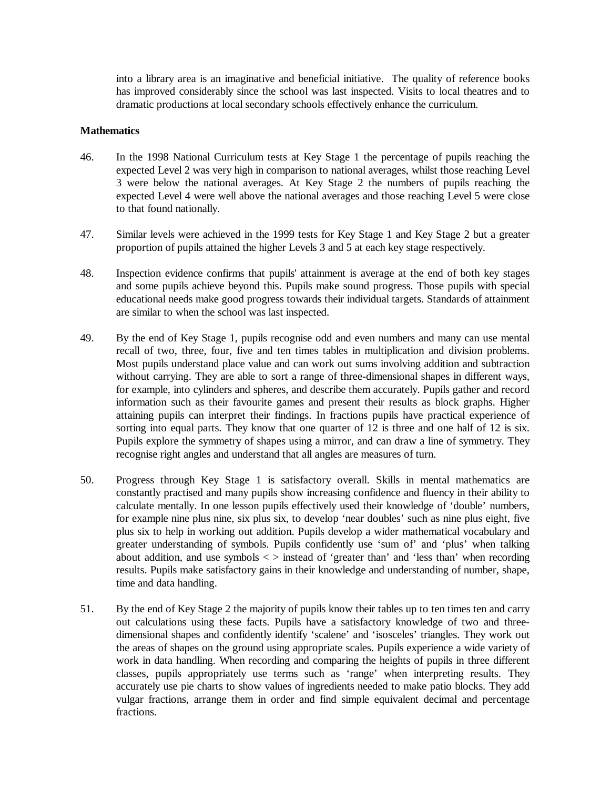into a library area is an imaginative and beneficial initiative. The quality of reference books has improved considerably since the school was last inspected. Visits to local theatres and to dramatic productions at local secondary schools effectively enhance the curriculum.

#### **Mathematics**

- 46. In the 1998 National Curriculum tests at Key Stage 1 the percentage of pupils reaching the expected Level 2 was very high in comparison to national averages, whilst those reaching Level 3 were below the national averages. At Key Stage 2 the numbers of pupils reaching the expected Level 4 were well above the national averages and those reaching Level 5 were close to that found nationally.
- 47. Similar levels were achieved in the 1999 tests for Key Stage 1 and Key Stage 2 but a greater proportion of pupils attained the higher Levels 3 and 5 at each key stage respectively.
- 48. Inspection evidence confirms that pupils' attainment is average at the end of both key stages and some pupils achieve beyond this. Pupils make sound progress. Those pupils with special educational needs make good progress towards their individual targets. Standards of attainment are similar to when the school was last inspected.
- 49. By the end of Key Stage 1, pupils recognise odd and even numbers and many can use mental recall of two, three, four, five and ten times tables in multiplication and division problems. Most pupils understand place value and can work out sums involving addition and subtraction without carrying. They are able to sort a range of three-dimensional shapes in different ways, for example, into cylinders and spheres, and describe them accurately. Pupils gather and record information such as their favourite games and present their results as block graphs. Higher attaining pupils can interpret their findings. In fractions pupils have practical experience of sorting into equal parts. They know that one quarter of 12 is three and one half of 12 is six. Pupils explore the symmetry of shapes using a mirror, and can draw a line of symmetry. They recognise right angles and understand that all angles are measures of turn.
- 50. Progress through Key Stage 1 is satisfactory overall. Skills in mental mathematics are constantly practised and many pupils show increasing confidence and fluency in their ability to calculate mentally. In one lesson pupils effectively used their knowledge of 'double' numbers, for example nine plus nine, six plus six, to develop 'near doubles' such as nine plus eight, five plus six to help in working out addition. Pupils develop a wider mathematical vocabulary and greater understanding of symbols. Pupils confidently use 'sum of' and 'plus' when talking about addition, and use symbols  $\langle \rangle$  instead of 'greater than' and 'less than' when recording results. Pupils make satisfactory gains in their knowledge and understanding of number, shape, time and data handling.
- 51. By the end of Key Stage 2 the majority of pupils know their tables up to ten times ten and carry out calculations using these facts. Pupils have a satisfactory knowledge of two and threedimensional shapes and confidently identify 'scalene' and 'isosceles' triangles. They work out the areas of shapes on the ground using appropriate scales. Pupils experience a wide variety of work in data handling. When recording and comparing the heights of pupils in three different classes, pupils appropriately use terms such as 'range' when interpreting results. They accurately use pie charts to show values of ingredients needed to make patio blocks. They add vulgar fractions, arrange them in order and find simple equivalent decimal and percentage fractions.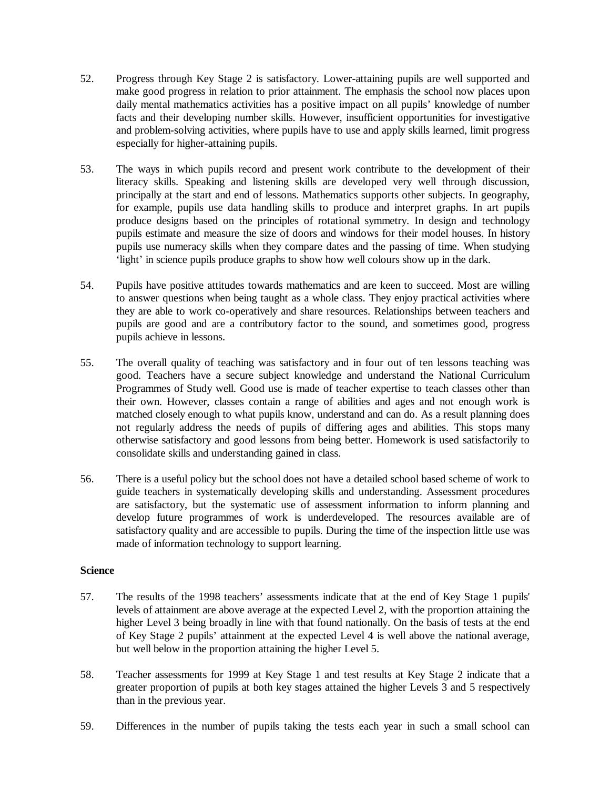- 52. Progress through Key Stage 2 is satisfactory. Lower-attaining pupils are well supported and make good progress in relation to prior attainment. The emphasis the school now places upon daily mental mathematics activities has a positive impact on all pupils' knowledge of number facts and their developing number skills. However, insufficient opportunities for investigative and problem-solving activities, where pupils have to use and apply skills learned, limit progress especially for higher-attaining pupils.
- 53. The ways in which pupils record and present work contribute to the development of their literacy skills. Speaking and listening skills are developed very well through discussion, principally at the start and end of lessons. Mathematics supports other subjects. In geography, for example, pupils use data handling skills to produce and interpret graphs. In art pupils produce designs based on the principles of rotational symmetry. In design and technology pupils estimate and measure the size of doors and windows for their model houses. In history pupils use numeracy skills when they compare dates and the passing of time. When studying 'light' in science pupils produce graphs to show how well colours show up in the dark.
- 54. Pupils have positive attitudes towards mathematics and are keen to succeed. Most are willing to answer questions when being taught as a whole class. They enjoy practical activities where they are able to work co-operatively and share resources. Relationships between teachers and pupils are good and are a contributory factor to the sound, and sometimes good, progress pupils achieve in lessons.
- 55. The overall quality of teaching was satisfactory and in four out of ten lessons teaching was good. Teachers have a secure subject knowledge and understand the National Curriculum Programmes of Study well. Good use is made of teacher expertise to teach classes other than their own. However, classes contain a range of abilities and ages and not enough work is matched closely enough to what pupils know, understand and can do. As a result planning does not regularly address the needs of pupils of differing ages and abilities. This stops many otherwise satisfactory and good lessons from being better. Homework is used satisfactorily to consolidate skills and understanding gained in class.
- 56. There is a useful policy but the school does not have a detailed school based scheme of work to guide teachers in systematically developing skills and understanding. Assessment procedures are satisfactory, but the systematic use of assessment information to inform planning and develop future programmes of work is underdeveloped. The resources available are of satisfactory quality and are accessible to pupils. During the time of the inspection little use was made of information technology to support learning.

## **Science**

- 57. The results of the 1998 teachers' assessments indicate that at the end of Key Stage 1 pupils' levels of attainment are above average at the expected Level 2, with the proportion attaining the higher Level 3 being broadly in line with that found nationally. On the basis of tests at the end of Key Stage 2 pupils' attainment at the expected Level 4 is well above the national average, but well below in the proportion attaining the higher Level 5.
- 58. Teacher assessments for 1999 at Key Stage 1 and test results at Key Stage 2 indicate that a greater proportion of pupils at both key stages attained the higher Levels 3 and 5 respectively than in the previous year.
- 59. Differences in the number of pupils taking the tests each year in such a small school can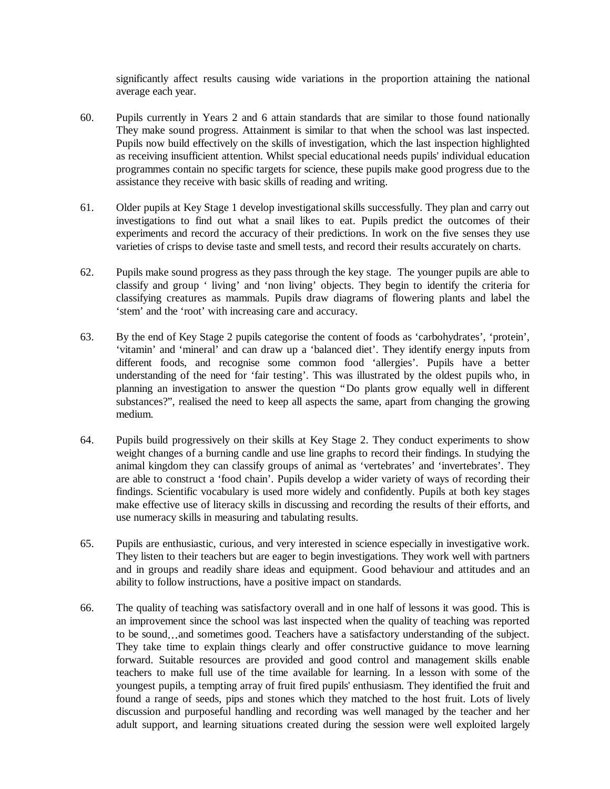significantly affect results causing wide variations in the proportion attaining the national average each year.

- 60. Pupils currently in Years 2 and 6 attain standards that are similar to those found nationally They make sound progress. Attainment is similar to that when the school was last inspected. Pupils now build effectively on the skills of investigation, which the last inspection highlighted as receiving insufficient attention. Whilst special educational needs pupils' individual education programmes contain no specific targets for science, these pupils make good progress due to the assistance they receive with basic skills of reading and writing.
- 61. Older pupils at Key Stage 1 develop investigational skills successfully. They plan and carry out investigations to find out what a snail likes to eat. Pupils predict the outcomes of their experiments and record the accuracy of their predictions. In work on the five senses they use varieties of crisps to devise taste and smell tests, and record their results accurately on charts.
- 62. Pupils make sound progress as they pass through the key stage. The younger pupils are able to classify and group ' living' and 'non living' objects. They begin to identify the criteria for classifying creatures as mammals. Pupils draw diagrams of flowering plants and label the 'stem' and the 'root' with increasing care and accuracy.
- 63. By the end of Key Stage 2 pupils categorise the content of foods as 'carbohydrates', 'protein', 'vitamin' and 'mineral' and can draw up a 'balanced diet'. They identify energy inputs from different foods, and recognise some common food 'allergies'. Pupils have a better understanding of the need for 'fair testing'. This was illustrated by the oldest pupils who, in planning an investigation to answer the question "Do plants grow equally well in different substances?", realised the need to keep all aspects the same, apart from changing the growing medium.
- 64. Pupils build progressively on their skills at Key Stage 2. They conduct experiments to show weight changes of a burning candle and use line graphs to record their findings. In studying the animal kingdom they can classify groups of animal as 'vertebrates' and 'invertebrates'. They are able to construct a 'food chain'. Pupils develop a wider variety of ways of recording their findings. Scientific vocabulary is used more widely and confidently. Pupils at both key stages make effective use of literacy skills in discussing and recording the results of their efforts, and use numeracy skills in measuring and tabulating results.
- 65. Pupils are enthusiastic, curious, and very interested in science especially in investigative work. They listen to their teachers but are eager to begin investigations. They work well with partners and in groups and readily share ideas and equipment. Good behaviour and attitudes and an ability to follow instructions, have a positive impact on standards.
- 66. The quality of teaching was satisfactory overall and in one half of lessons it was good. This is an improvement since the school was last inspected when the quality of teaching was reported to be sound… and sometimes good. Teachers have a satisfactory understanding of the subject. They take time to explain things clearly and offer constructive guidance to move learning forward. Suitable resources are provided and good control and management skills enable teachers to make full use of the time available for learning. In a lesson with some of the youngest pupils, a tempting array of fruit fired pupils' enthusiasm. They identified the fruit and found a range of seeds, pips and stones which they matched to the host fruit. Lots of lively discussion and purposeful handling and recording was well managed by the teacher and her adult support, and learning situations created during the session were well exploited largely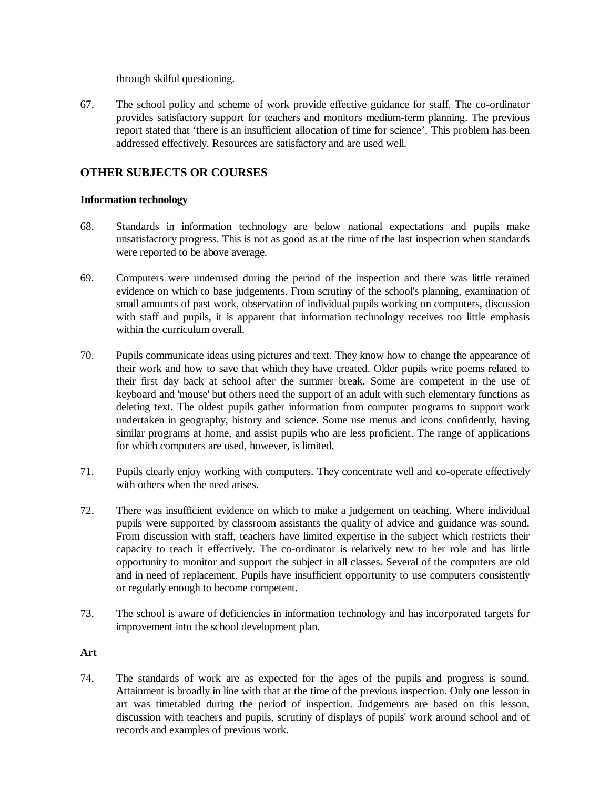through skilful questioning.

67. The school policy and scheme of work provide effective guidance for staff. The co-ordinator provides satisfactory support for teachers and monitors medium-term planning. The previous report stated that 'there is an insufficient allocation of time for science'. This problem has been addressed effectively. Resources are satisfactory and are used well.

## **OTHER SUBJECTS OR COURSES**

## **Information technology**

- 68. Standards in information technology are below national expectations and pupils make unsatisfactory progress. This is not as good as at the time of the last inspection when standards were reported to be above average.
- 69. Computers were underused during the period of the inspection and there was little retained evidence on which to base judgements. From scrutiny of the school's planning, examination of small amounts of past work, observation of individual pupils working on computers, discussion with staff and pupils, it is apparent that information technology receives too little emphasis within the curriculum overall.
- 70. Pupils communicate ideas using pictures and text. They know how to change the appearance of their work and how to save that which they have created. Older pupils write poems related to their first day back at school after the summer break. Some are competent in the use of keyboard and 'mouse' but others need the support of an adult with such elementary functions as deleting text. The oldest pupils gather information from computer programs to support work undertaken in geography, history and science. Some use menus and icons confidently, having similar programs at home, and assist pupils who are less proficient. The range of applications for which computers are used, however, is limited.
- 71. Pupils clearly enjoy working with computers. They concentrate well and co-operate effectively with others when the need arises.
- 72. There was insufficient evidence on which to make a judgement on teaching. Where individual pupils were supported by classroom assistants the quality of advice and guidance was sound. From discussion with staff, teachers have limited expertise in the subject which restricts their capacity to teach it effectively. The co-ordinator is relatively new to her role and has little opportunity to monitor and support the subject in all classes. Several of the computers are old and in need of replacement. Pupils have insufficient opportunity to use computers consistently or regularly enough to become competent.
- 73. The school is aware of deficiencies in information technology and has incorporated targets for improvement into the school development plan.

## **Art**

74. The standards of work are as expected for the ages of the pupils and progress is sound. Attainment is broadly in line with that at the time of the previous inspection. Only one lesson in art was timetabled during the period of inspection. Judgements are based on this lesson, discussion with teachers and pupils, scrutiny of displays of pupils' work around school and of records and examples of previous work.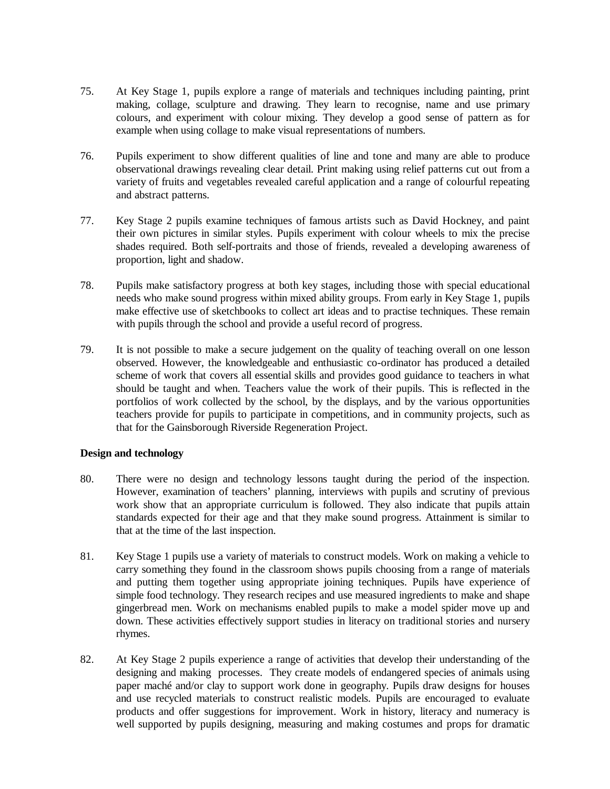- 75. At Key Stage 1, pupils explore a range of materials and techniques including painting, print making, collage, sculpture and drawing. They learn to recognise, name and use primary colours, and experiment with colour mixing. They develop a good sense of pattern as for example when using collage to make visual representations of numbers.
- 76. Pupils experiment to show different qualities of line and tone and many are able to produce observational drawings revealing clear detail. Print making using relief patterns cut out from a variety of fruits and vegetables revealed careful application and a range of colourful repeating and abstract patterns.
- 77. Key Stage 2 pupils examine techniques of famous artists such as David Hockney, and paint their own pictures in similar styles. Pupils experiment with colour wheels to mix the precise shades required. Both self-portraits and those of friends, revealed a developing awareness of proportion, light and shadow.
- 78. Pupils make satisfactory progress at both key stages, including those with special educational needs who make sound progress within mixed ability groups. From early in Key Stage 1, pupils make effective use of sketchbooks to collect art ideas and to practise techniques. These remain with pupils through the school and provide a useful record of progress.
- 79. It is not possible to make a secure judgement on the quality of teaching overall on one lesson observed. However, the knowledgeable and enthusiastic co-ordinator has produced a detailed scheme of work that covers all essential skills and provides good guidance to teachers in what should be taught and when. Teachers value the work of their pupils. This is reflected in the portfolios of work collected by the school, by the displays, and by the various opportunities teachers provide for pupils to participate in competitions, and in community projects, such as that for the Gainsborough Riverside Regeneration Project.

## **Design and technology**

- 80. There were no design and technology lessons taught during the period of the inspection. However, examination of teachers' planning, interviews with pupils and scrutiny of previous work show that an appropriate curriculum is followed. They also indicate that pupils attain standards expected for their age and that they make sound progress. Attainment is similar to that at the time of the last inspection.
- 81. Key Stage 1 pupils use a variety of materials to construct models. Work on making a vehicle to carry something they found in the classroom shows pupils choosing from a range of materials and putting them together using appropriate joining techniques. Pupils have experience of simple food technology. They research recipes and use measured ingredients to make and shape gingerbread men. Work on mechanisms enabled pupils to make a model spider move up and down. These activities effectively support studies in literacy on traditional stories and nursery rhymes.
- 82. At Key Stage 2 pupils experience a range of activities that develop their understanding of the designing and making processes. They create models of endangered species of animals using paper maché and/or clay to support work done in geography. Pupils draw designs for houses and use recycled materials to construct realistic models. Pupils are encouraged to evaluate products and offer suggestions for improvement. Work in history, literacy and numeracy is well supported by pupils designing, measuring and making costumes and props for dramatic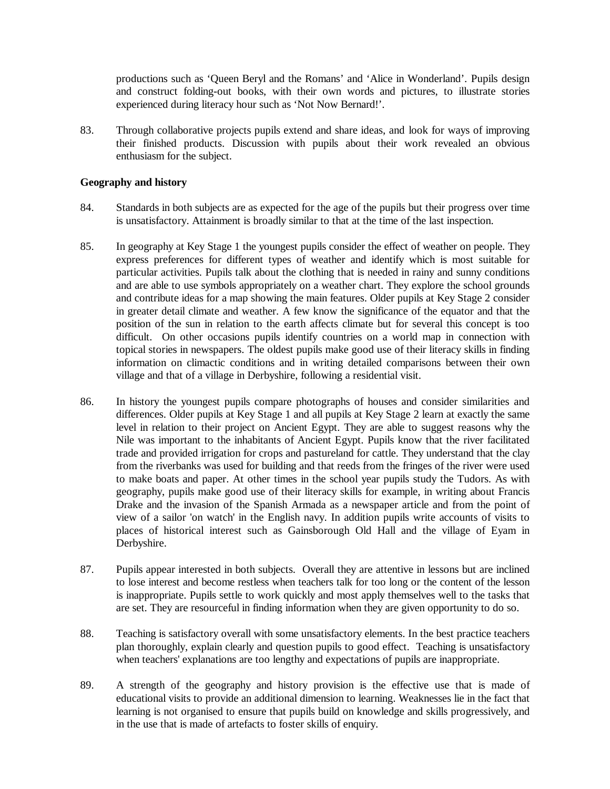productions such as 'Queen Beryl and the Romans' and 'Alice in Wonderland'. Pupils design and construct folding-out books, with their own words and pictures, to illustrate stories experienced during literacy hour such as 'Not Now Bernard!'.

83. Through collaborative projects pupils extend and share ideas, and look for ways of improving their finished products. Discussion with pupils about their work revealed an obvious enthusiasm for the subject.

#### **Geography and history**

- 84. Standards in both subjects are as expected for the age of the pupils but their progress over time is unsatisfactory. Attainment is broadly similar to that at the time of the last inspection.
- 85. In geography at Key Stage 1 the youngest pupils consider the effect of weather on people. They express preferences for different types of weather and identify which is most suitable for particular activities. Pupils talk about the clothing that is needed in rainy and sunny conditions and are able to use symbols appropriately on a weather chart. They explore the school grounds and contribute ideas for a map showing the main features. Older pupils at Key Stage 2 consider in greater detail climate and weather. A few know the significance of the equator and that the position of the sun in relation to the earth affects climate but for several this concept is too difficult. On other occasions pupils identify countries on a world map in connection with topical stories in newspapers. The oldest pupils make good use of their literacy skills in finding information on climactic conditions and in writing detailed comparisons between their own village and that of a village in Derbyshire, following a residential visit.
- 86. In history the youngest pupils compare photographs of houses and consider similarities and differences. Older pupils at Key Stage 1 and all pupils at Key Stage 2 learn at exactly the same level in relation to their project on Ancient Egypt. They are able to suggest reasons why the Nile was important to the inhabitants of Ancient Egypt. Pupils know that the river facilitated trade and provided irrigation for crops and pastureland for cattle. They understand that the clay from the riverbanks was used for building and that reeds from the fringes of the river were used to make boats and paper. At other times in the school year pupils study the Tudors. As with geography, pupils make good use of their literacy skills for example, in writing about Francis Drake and the invasion of the Spanish Armada as a newspaper article and from the point of view of a sailor 'on watch' in the English navy. In addition pupils write accounts of visits to places of historical interest such as Gainsborough Old Hall and the village of Eyam in Derbyshire.
- 87. Pupils appear interested in both subjects. Overall they are attentive in lessons but are inclined to lose interest and become restless when teachers talk for too long or the content of the lesson is inappropriate. Pupils settle to work quickly and most apply themselves well to the tasks that are set. They are resourceful in finding information when they are given opportunity to do so.
- 88. Teaching is satisfactory overall with some unsatisfactory elements. In the best practice teachers plan thoroughly, explain clearly and question pupils to good effect. Teaching is unsatisfactory when teachers' explanations are too lengthy and expectations of pupils are inappropriate.
- 89. A strength of the geography and history provision is the effective use that is made of educational visits to provide an additional dimension to learning. Weaknesses lie in the fact that learning is not organised to ensure that pupils build on knowledge and skills progressively, and in the use that is made of artefacts to foster skills of enquiry.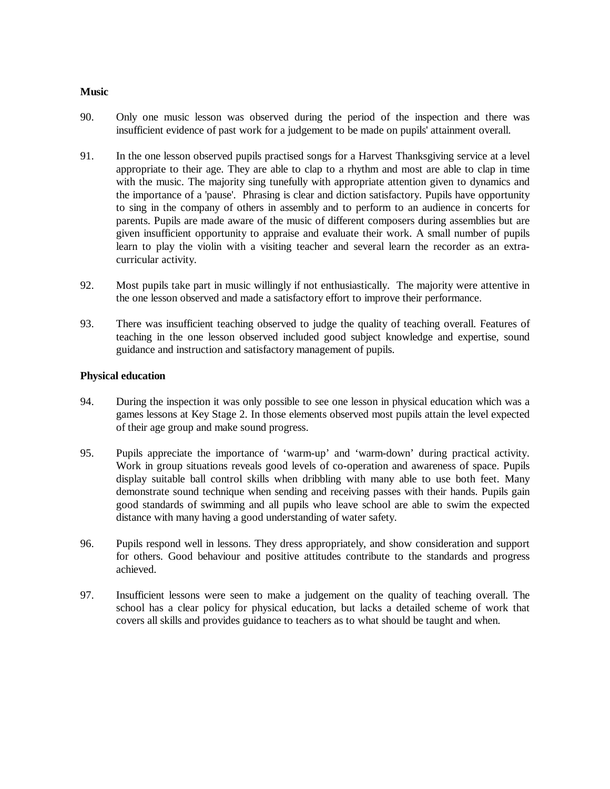#### **Music**

- 90. Only one music lesson was observed during the period of the inspection and there was insufficient evidence of past work for a judgement to be made on pupils' attainment overall.
- 91. In the one lesson observed pupils practised songs for a Harvest Thanksgiving service at a level appropriate to their age. They are able to clap to a rhythm and most are able to clap in time with the music. The majority sing tunefully with appropriate attention given to dynamics and the importance of a 'pause'. Phrasing is clear and diction satisfactory. Pupils have opportunity to sing in the company of others in assembly and to perform to an audience in concerts for parents. Pupils are made aware of the music of different composers during assemblies but are given insufficient opportunity to appraise and evaluate their work. A small number of pupils learn to play the violin with a visiting teacher and several learn the recorder as an extracurricular activity.
- 92. Most pupils take part in music willingly if not enthusiastically. The majority were attentive in the one lesson observed and made a satisfactory effort to improve their performance.
- 93. There was insufficient teaching observed to judge the quality of teaching overall. Features of teaching in the one lesson observed included good subject knowledge and expertise, sound guidance and instruction and satisfactory management of pupils.

#### **Physical education**

- 94. During the inspection it was only possible to see one lesson in physical education which was a games lessons at Key Stage 2. In those elements observed most pupils attain the level expected of their age group and make sound progress.
- 95. Pupils appreciate the importance of 'warm-up' and 'warm-down' during practical activity. Work in group situations reveals good levels of co-operation and awareness of space. Pupils display suitable ball control skills when dribbling with many able to use both feet. Many demonstrate sound technique when sending and receiving passes with their hands. Pupils gain good standards of swimming and all pupils who leave school are able to swim the expected distance with many having a good understanding of water safety.
- 96. Pupils respond well in lessons. They dress appropriately, and show consideration and support for others. Good behaviour and positive attitudes contribute to the standards and progress achieved.
- 97. Insufficient lessons were seen to make a judgement on the quality of teaching overall. The school has a clear policy for physical education, but lacks a detailed scheme of work that covers all skills and provides guidance to teachers as to what should be taught and when.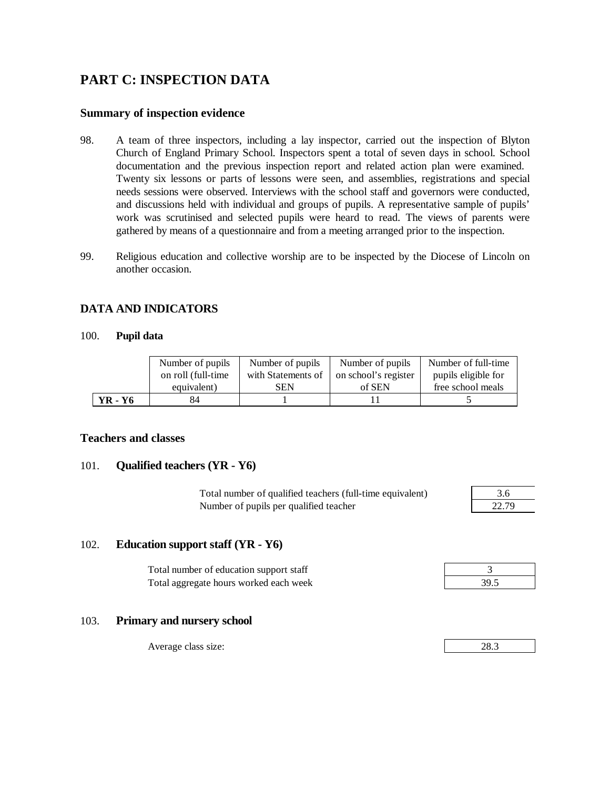# **PART C: INSPECTION DATA**

## **Summary of inspection evidence**

- 98. A team of three inspectors, including a lay inspector, carried out the inspection of Blyton Church of England Primary School. Inspectors spent a total of seven days in school. School documentation and the previous inspection report and related action plan were examined. Twenty six lessons or parts of lessons were seen, and assemblies, registrations and special needs sessions were observed. Interviews with the school staff and governors were conducted, and discussions held with individual and groups of pupils. A representative sample of pupils' work was scrutinised and selected pupils were heard to read. The views of parents were gathered by means of a questionnaire and from a meeting arranged prior to the inspection.
- 99. Religious education and collective worship are to be inspected by the Diocese of Lincoln on another occasion.

## **DATA AND INDICATORS**

#### 100. **Pupil data**

|         | Number of pupils   | Number of pupils   | Number of pupils     | Number of full-time |
|---------|--------------------|--------------------|----------------------|---------------------|
|         | on roll (full-time | with Statements of | on school's register | pupils eligible for |
|         | equivalent)        | SEN                | of SEN               | free school meals   |
| YR - Y6 | 84                 |                    |                      |                     |

## **Teachers and classes**

## 101. **Qualified teachers (YR - Y6)**

Total number of qualified teachers (full-time equivalent) 3.6 Number of pupils per qualified teacher

| י        |  |
|----------|--|
| アナコ<br>ч |  |

## 102. **Education support staff (YR - Y6)**

Total number of education support staff 3 Total aggregate hours worked each week 39.5

# 103. **Primary and nursery school**

Average class size:

| $\sim$<br>ററ |  |
|--------------|--|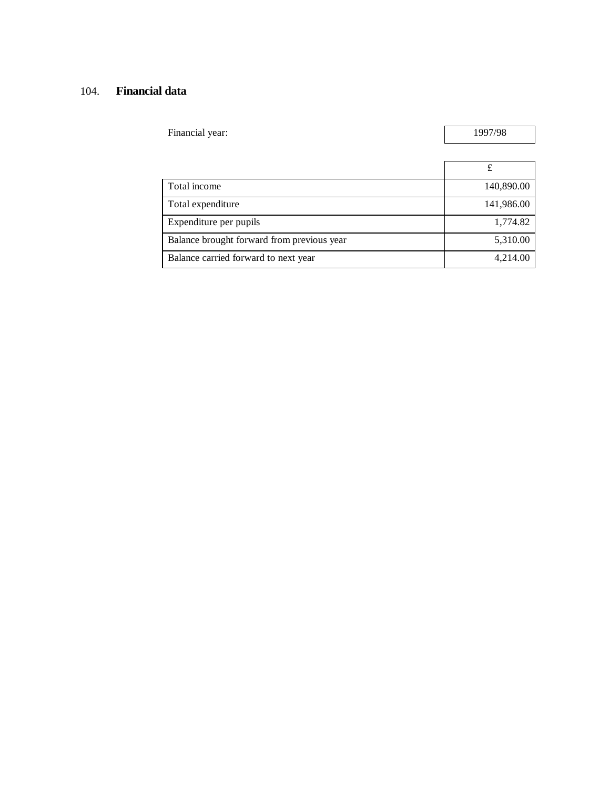## 104. **Financial data**

| Financial year: | 1997/98 |
|-----------------|---------|
|                 |         |

 $\overline{\phantom{0}}$ 

| Total income                               | 140,890.00 |
|--------------------------------------------|------------|
| Total expenditure                          | 141,986.00 |
| Expenditure per pupils                     | 1,774.82   |
| Balance brought forward from previous year | 5,310.00   |
| Balance carried forward to next year       | 4,214.00   |